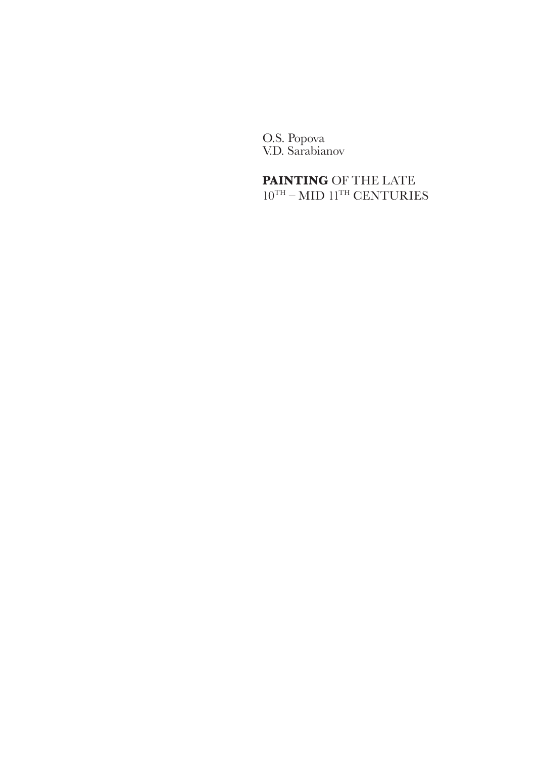O.S. Popova V.D. Sarabianov

**PAINTING** OF THE LATE  $10^{\mathrm{TH}} - \mathrm{MID}$   $11^{\mathrm{TH}}$  CENTURIES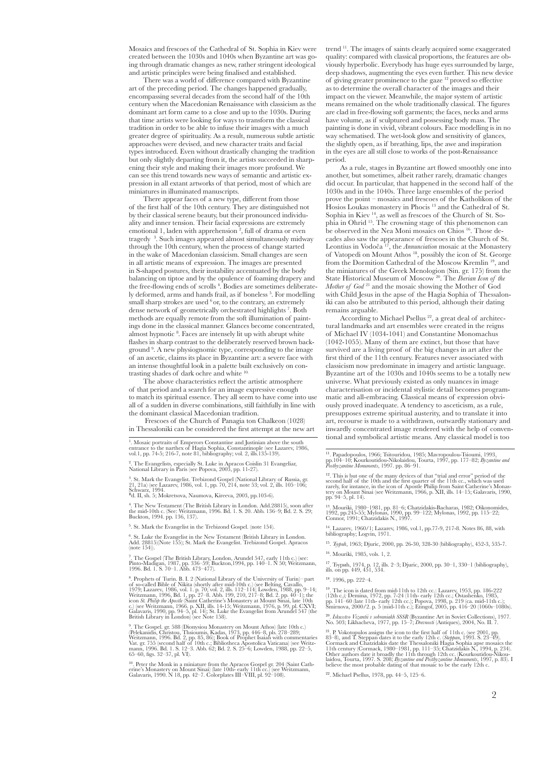Mosaics and frescoes of the Cathedral of St. Sophia in Kiev were created between the 1030s and 1040s when Byzantine art was going through dramatic changes as new, rather stringent ideological and artistic principles were being finalised and established.

There was a world of difference compared with Byzantine art of the preceding period. The changes happened gradually, encompassing several decades from the second half of the 10th century when the Macedonian Renaissance with classicism as the dominant art form came to a close and up to the 1030s. During that time artists were looking for ways to transform the classical tradition in order to be able to infuse their images with a much greater degree of spirituality. As a result, numerous subtle artistic approaches were devised, and new character traits and facial types introduced. Even without drastically changing the tradition but only slightly departing from it, the artists succeeded in sharpening their style and making their images more profound. We can see this trend towards new ways of semantic and artistic expression in all extant artworks of that period, most of which are miniatures in illuminated manuscripts.

There appear faces of a new type, different from those of the first half of the 10th century. They are distinguished not by their classical serene beauty, but their pronounced individuality and inner tension. Their facial expressions are extremely emotional 1, laden with apprehension<sup>2</sup>, full of drama or even tragedy 3 . Such images appeared almost simultaneously midway through the 10th century, when the process of change started in the wake of Macedonian classicism. Small changes are seen in all artistic means of expression. The images are presented in S-shaped postures, their instability accentuated by the body balancing on tiptoe and by the opulence of foaming drapery and the free-flowing ends of scrolls<sup>4</sup>. Bodies are sometimes deliberately deformed, arms and hands frail, as if boneless<sup>5</sup>. For modelling small sharp strokes are used  $6$  or, to the contrary, an extremely dense network of geometrically orchestrated highlights<sup>7</sup>. Both methods are equally remote from the soft illumination of paintings done in the classical manner. Glances become concentrated, almost hypnotic 8 . Faces are intensely lit up with abrupt white flashes in sharp contrast to the deliberately reserved brown background 9 . A new physiognomic type, corresponding to the image of an ascetic, claims its place in Byzantine art: a severe face with an intense thoughtful look in a palette built exclusively on contrasting shades of dark ochre and white <sup>10</sup>

The above characteristics reflect the artistic atmosphere of that period and a search for an image expressive enough to match its spiritual essence. They all seem to have come into use all of a sudden in diverse combinations, still faithfully in line with the dominant classical Macedonian tradition.

 Frescoes of the Church of Panagia ton Chalkeon (1028) in Thessaloniki can be considered the first attempt at the new art

1 . Mosaic portraits of Emperors Constantine and Justinian above the south entrance to the narthex of Hagia Sophia, Constantinople (see Lazarev, 1986, vol.1, pp. 74-5; 216-7, note 81, bibliography; vol. 2, ills.135-139).

2 . The Evangelists, especially St. Luke in Apracos Coislin 31 Evangeliar, National Library in Paris (see Popova, 2003, pp. 11-27).

<sup>3</sup>. St. Mark the Evangelist. Trebizond Gospel (National Library of Russia, gr. 21, 21a) (see Lazarev, 1986, vol. 1, pp. 70, 214, note 53; vol. 2, ills. 105–106; Schwarz, 1994.<br>Schwarz, 1994.<br><sup>B</sup>d. II, sh. 5; Mokretsova, N

4 . The New Testament (The British Library in London. Add.28815), soon after the mid-10th c. (See: Weitzmann, 1996. Bd. 1. S. 20. Abb. 136–9; Bd. 2. S. 29; Buckton, 1994. pp. 136, 137).

5 . St. Mark the Evangelist in the Trebizond Gospel. (note 154).

6 . St. Luke the Evangelist in the New Testament (British Library in London. Аdd. 28815)(Note 155); St. Mark the Evangelist. Trebizond Gospel. Apracos (note 154)).

7 . The Gospel (The British Library, London, Arundel 547, early 11th c.) (see: Pinto-Madigan, 1987, pp. 336–59; Buckton,1994, pp. 140–1. N 50; Weitzmann, 1996. Bd. 1. S. 70–1. Abb. 473–477).

8 . Prophets of Turin. В. I. 2 (National Library of the University of Turin)–part of so-called Bible of Nikita (shortly after mid-10th c.) (see Belting, Cavallo, 1979; Lazarev, 1986, vol. 1. p. 70; vol. 2, ills. 112–114; Lowden, 1988, pp. 9–14; Weitzmann, 1996, Bd. 1, pp. 27–8. Abb. 199, 210, 217–8; Bd

<sup>9</sup>. The Gospel. gr. 588 (Dionysiou Monastery on Mount Athos) (late 10th c.) (Pelekanidis, Christou, Thsioumis, Kadas, 1973, pp. 446–8, pis. 278–289;<br>(Weitzmann, 1996. Bd. 2, pp. 85, 86); Book of Prophet Isaiah with comme

<sup>10</sup>. Peter the Monk in a miniature from the Apracos Gospel gr. 204 (Saint Cath-<br>erine's Monastery on Mount Sinai) (late 10th- early 11th cc.) (see Weitzmann,<br>Galavaris, 1990. N 18, pp. 42–7. Colorplates III–VIII, pl. 92–1

trend 11. The images of saints clearly acquired some exaggerated quality: compared with classical proportions, the features are obviously hyperbolic. Everybody has huge eyes surrounded by large, deep shadows, augmenting the eyes even further. This new device of giving greater prominence to the gaze 12 proved so effective as to determine the overall character of the images and their impact on the viewer. Meanwhile, the major system of artistic means remained on the whole traditionally classical. The figures are clad in free-flowing soft garments; the faces, necks and arms have volume, as if sculptured and possessing body mass. The painting is done in vivid, vibrant colours. Face modelling is in no way schematised. The wet-look glow and sensitivity of glances, the slightly open, as if breathing, lips, the awe and inspiration in the eyes are all still close to works of the post-Renaissance period.

As a rule, stages in Byzantine art flowed smoothly one into another, but sometimes, albeit rather rarely, dramatic changes did occur. In particular, that happened in the second half of the 1030s and in the 1040s. Three large ensembles of the period prove the point – mosaics and frescoes of the Katholikon of the Hosios Loukas monastery in Phocis<sup>13</sup> and the Cathedral of St. Sophia in Kiev 14, as well as frescoes of the Church of St. Sophia in Ohrid 15. The crowning stage of this phenomenon can be observed in the Nea Moni mosaics on Chios 16. Those decades also saw the appearance of frescoes in the Church of St. Leontius in Vodoča 17, the *Annunciation* mosaic at the Monastery of Vatopedi on Mount Athos 18, possibly the icon of St. George from the Dormition Cathedral of the Moscow Kremlin 19, and the miniatures of the Greek Menologion (Sin. gr. 175) from the State Historical Museum of Moscow 20. The *Iberian Icon of the Mother of God* 21 and the mosaic showing the Mother of God with Child Jesus in the apse of the Hagia Sophia of Thessaloniki can also be attributed to this period, although their dating remains arguable.

According to Michael Psellus<sup>22</sup>, a great deal of architectural landmarks and art ensembles were created in the reigns of Michael IV (1034-1041) and Constantine Monomachus (1042-1055). Many of them are extinct, but those that have survived are a living proof of the big changes in art after the first third of the 11th century. Features never associated with classicism now predominate in imagery and artistic language. Byzantine art of the 1030s and 1040s seems to be a totally new universe. What previously existed as only nuances in image characterisation or incidental stylistic detail becomes programmatic and all-embracing. Classical means of expression obviously proved inadequate. A tendency to asceticism, as a rule, presupposes extreme spiritual austerity, and to translate it into art, recourse is made to a withdrawn, outwardly stationary and inwardly concentrated image rendered with the help of conventional and symbolical artistic means. Any classical model is too

<sup>11</sup>. Papadopoulos, 1966; Tsitouridou, 1985; Mavropoulou-Tsioumi, 1993, pp.104–10; Kourkoutidou-Nikolaidou, Tourta, 1997, pp. 177–82; *Byzantine and Postbyzantine Monuments*, 1997. pp. 86–91.

<sup>12</sup>, This is but one of the many devices of that "tirial and error" period of the accord half of the 10th and the first quarter of the 11th cc., which was used rarely, for instance, in the icon of Apostle Philip from Sai

<sup>13</sup>. Mouriki, 1980–1981, pp. 81–6; Chatzidakis-Bacharas, 1982; Oikonomides, 1992, pp.245-55; Mylonas, 1990, pp. 99–122; Mylonas, 1992, pp. 115–22; Connor, 1991; Chatzidakis N., 1997.

<sup>14</sup>. Lazarev*,* 1960/1; Lazarev, 1986, vol.1, pp.77-9, 217-8. Notes 86, 88, with bibliography; Logvin, 1971.

<sup>15</sup>. *Ђуриh*, 1963; Djuric, 2000, pp. 26-30, 328-30 (bibliography), 452-3, 535-7. <sup>16</sup>. Mouriki, 1985, vols. 1, 2.

<sup>17</sup>. Ђуриh, 1974, p. 12, ills. 2–3; Djuric, 2000, pp. 30–1, 330–1 (bibliography), ills. on pp. 449, 451, 534.

<sup>18</sup>. 1996, pp. 222–4.

<sup>19</sup>. The icon is dated from mid-11th to 12th cc.: Lazarev, 1953, pp. 186-222<br>(12th c.); Demina, 1972, pp. 7-24 (11th- early 12th cc.; Ostashenko, 1985, pp. 141-60 (late 11th- early 12th cc.); Popova, 1998, p. 219 (ca. mid

<sup>20</sup>. *Iskusstvo Vizantii v sobraniakh SSSR* (Byzantine Art in Soviet Collections), 1977. No. 503; Likhacheva, 1977, pp. 15–7; *Drevnosti* (Antiques), 2004, No. II. 7.

<sup>21</sup>. P. Vokotopulos assigns the icon to the first half of 11th c. (see 2001, pp. 33–3), and T. Steppan dates it to the early 12th c. *(Seebpan*, 1993. S. 23–49). Cormack and Chatzidakis date the Thessaloniki Hagia Sophia

22. Michael Psellus, 1978, pp. 44–5, 125–6.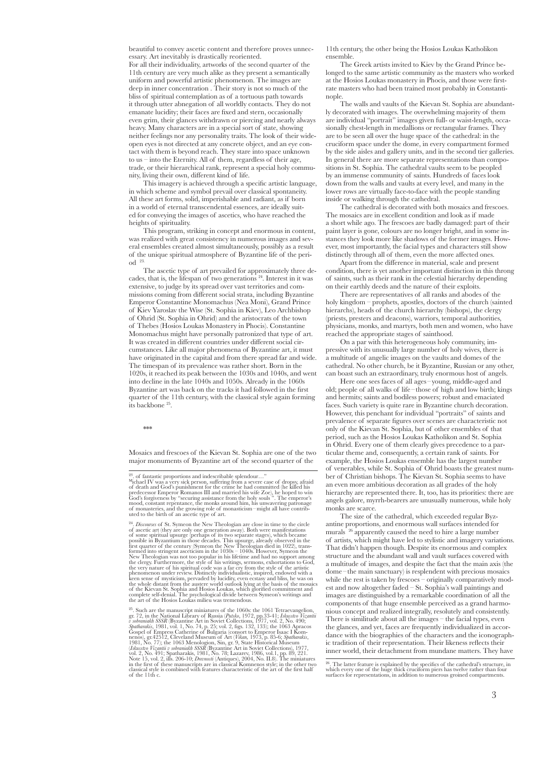beautiful to convey ascetic content and therefore proves unnecessary. Art inevitably is drastically reoriented. For all their individuality, artworks of the second quarter of the 11th century are very much alike as they present a semantically uniform and powerful artistic phenomenon. The images are deep in inner concentration . Their story is not so much of the bliss of spiritual contemplation as of a tortuous path towards it through utter abnegation of all worldly contacts. They do not emanate lucidity; their faces are fixed and stern, occasionally even grim, their glances withdrawn or piercing and nearly always heavy. Many characters are in a special sort of state, showing neither feelings nor any personality traits. The look of their wideopen eyes is not directed at any concrete object, and an eye contact with them is beyond reach. They stare into space unknown to us – into the Eternity. All of them, regardless of their age, trade, or their hierarchical rank, represent a special holy community, living their own, different kind of life.

This imagery is achieved through a specific artistic language, in which scheme and symbol prevail over classical spontaneity. All these art forms, solid, imperishable and radiant, as if born in a world of eternal transcendental essences, are ideally suited for conveying the images of ascetics, who have reached the heights of spirituality.

This program, striking in concept and enormous in content, was realized with great consistency in numerous images and several ensembles created almost simultaneously, possibly as a result of the unique spiritual atmosphere of Byzantine life of the period 23.

The ascetic type of art prevailed for approximately three decades, that is, the lifespan of two generations 24. Interest in it was extensive, to judge by its spread over vast territories and commissions coming from different social strata, including Byzantine Emperor Constantine Monomachus (Nea Moni), Grand Prince of Kiev Yaroslav the Wise (St. Sophia in Kiev), Leo Archbishop of Ohrid (St. Sophia in Ohrid) and the aristocrats of the town of Thebes (Hosios Loukas Monastery in Phocis). Constantine Monomachus might have personally patronized that type of art. It was created in different countries under different social circumstances. Like all major phenomena of Byzantine art, it must have originated in the capital and from there spread far and wide. The timespan of its prevalence was rather short. Born in the 1020s, it reached its peak between the 1030s and 1040s, and went into decline in the late 1040s and 1050s. Already in the 1060s Byzantine art was back on the tracks it had followed in the first quarter of the 11th century, with the classical style again forming its backbone 25.

\*\*\*

Mosaics and frescoes of the Kievan St. Sophia are one of the two major monuments of Byzantine art of the second quarter of the

11th century, the other being the Hosios Loukas Katholikon ensemble.

The Greek artists invited to Kiev by the Grand Prince belonged to the same artistic community as the masters who worked at the Hosios Loukas monastery in Phocis, and those were firstrate masters who had been trained most probably in Constantinople.

The walls and vaults of the Kievan St. Sophia are abundantly decorated with images. The overwhelming majority of them are individual "portrait" images given full- or waist-length, occasionally chest-length in medallions or rectangular frames. They are to be seen all over the huge space of the cathedral: in the cruciform space under the dome, in every compartment formed by the side aisles and gallery units, and in the second tier galleries. In general there are more separate representations than compositions in St. Sophia. The cathedral vaults seem to be peopled by an immense community of saints. Hundreds of faces look down from the walls and vaults at every level, and many in the lower rows are virtually face-to-face with the people standing inside or walking through the cathedral.

The cathedral is decorated with both mosaics and frescoes. The mosaics are in excellent condition and look as if made a short while ago. The frescoes are badly damaged: part of their paint layer is gone, colours are no longer bright, and in some instances they look more like shadows of the former images. However, most importantly, the facial types and characters still show distinctly through all of them, even the more affected ones.

Apart from the difference in material, scale and present condition, there is yet another important distinction in this throng of saints, such as their rank in the celestial hierarchy depending on their earthly deeds and the nature of their exploits.

There are representatives of all ranks and abodes of the holy kingdom – prophets, apostles, doctors of the church (sainted hierarchs), heads of the church hierarchy (bishops), the clergy (priests, presters and deacons), warriors, temporal authorities, physicians, monks, and martyrs, both men and women, who have reached the appropriate stages of sainthood.

On a par with this heterogeneous holy community, impressive with its unusually large number of holy wives, there is a multitude of angelic images on the vaults and domes of the cathedral. No other church, be it Byzantine, Russian or any other, can boast such an extraordinary, truly enormous host of angels.

Here one sees faces of all ages–young, middle-aged and old; people of all walks of life–those of high and low birth; kings and hermits; saints and bodiless powers; robust and emaciated faces. Such variety is quite rare in Byzantine church decoration. However, this penchant for individual "portraits" of saints and prevalence of separate figures over scenes are characteristic not only of the Kievan St. Sophia, but of other ensembles of that period, such as the Hosios Loukas Katholikon and St. Sophia in Ohrid. Every one of them clearly gives precedence to a particular theme and, consequently, a certain rank of saints. For example, the Hosios Loukas ensemble has the largest number of venerables, while St. Sophia of Ohrid boasts the greatest number of Christian bishops. The Kievan St. Sophia seems to have an even more ambitious decoration as all grades of the holy hierarchy are represented there. It, too, has its priorities: there are angels galore, myrrh-bearers are unusually numerous, while holy monks are scarce.

The size of the cathedral, which exceeded regular Byzantine proportions, and enormous wall surfaces intended for murals 26 apparently caused the need to hire a large number of artists, which might have led to stylistic and imagery variations. That didn't happen though. Despite its enormous and complex structure and the abundant wall and vault surfaces covered with a multitude of images, and despite the fact that the main axis (the dome –the main sanctuary) is resplendent with precious mosaics while the rest is taken by frescoes – originally comparatively modest and now altogether faded – St. Sophia's wall paintings and images are distinguished by a remarkable coordination of all the components of that huge ensemble perceived as a grand harmonious concept and realized integrally, resolutely and consistently. There is similitude about all the images – the facial types, even the glances, and yet, faces are frequently individualized in accordance with the biographies of the characters and the iconographic tradition of their representation. Their likeness reflects their inner world, their detachment from mundane matters. They have

<sup>&</sup>lt;sup>23</sup>, of fantastic proportions and indescribable splendour..."<br>"the<br>nacl IV was a very sick person, suffering from a severe case of dropsy, a<br>fraid of death and God's punishment for the crime he had committed (he killed hi

<sup>&</sup>lt;sup>24</sup>. *Discourses* of St. Symeon the New Theologian are close in time to the circle<br>of accetic art (they are only one generation away). Both were manifestations<br>of some spiritual upsurge (perhaps of its two separate stage

<sup>&</sup>lt;sup>25</sup>. Such are the manuscript miniatures of the 1060s: the 1061 Tetraevangelion,  $gr \mathcal{I}$ , in the National Library of Russia (*Putsko*, 1972, pp.33-41; *Iskuststo Vizanlii* SSSR (Byzantine Art in Soviet Collections, 1977

 $^{26}$ . The latter feature is explained by the specifics of the cathedral's structure, in which every one of the huge thick cruciform piers has twelve rather than four surfaces for representations, in addition to numerous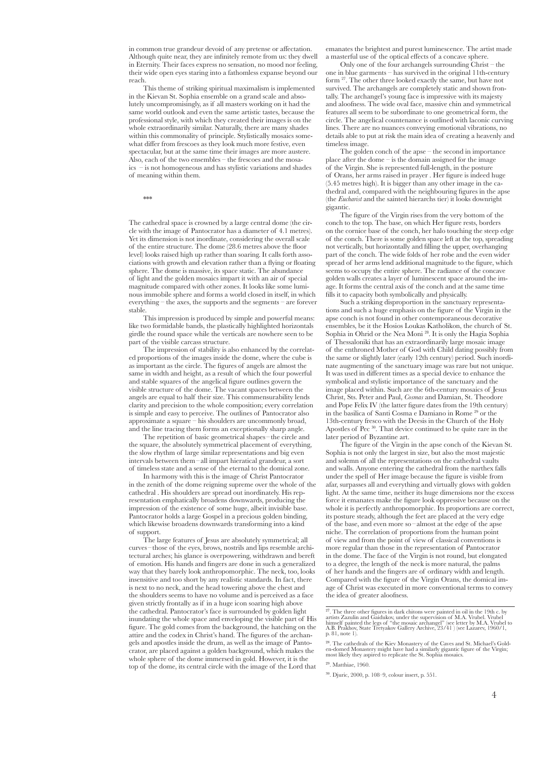in common true grandeur devoid of any pretense or affectation. Although quite near, they are infinitely remote from us: they dwell in Eternity. Their faces express no sensation, no mood nor feeling, their wide open eyes staring into a fathomless expanse beyond our reach.

This theme of striking spiritual maximalism is implemented in the Kievan St. Sophia ensemble on a grand scale and absolutely uncompromisingly, as if all masters working on it had the same world outlook and even the same artistic tastes, because the professional style, with which they created their images is on the whole extraordinarily similar. Naturally, there are many shades within this commonality of principle. Stylistically mosaics somewhat differ from frescoes as they look much more festive, even spectacular, but at the same time their images are more austere. Also, each of the two ensembles – the frescoes and the mosaics – is not homogeneous and has stylistic variations and shades of meaning within them.

\*\*\*

The cathedral space is crowned by a large central dome (the circle with the image of Pantocrator has a diameter of 4.1 metres). Yet its dimension is not inordinate, considering the overall scale of the entire structure. The dome (28.6 metres above the floor level) looks raised high up rather than soaring. It calls forth associations with growth and elevation rather than a flying or floating sphere. The dome is massive, its space static. The abundance of light and the golden mosaics impart it with an air of special magnitude compared with other zones. It looks like some luminous immobile sphere and forms a world closed in itself, in which everything – the axes, the supports and the segments – are forever stable.

This impression is produced by simple and powerful means: like two formidable bands, the plastically highlighted horizontals girdle the round space while the verticals are nowhere seen to be part of the visible carcass structure.

The impression of stability is also enhanced by the correlated proportions of the images inside the dome, where the cube is as important as the circle. The figures of angels are almost the same in width and height, as a result of which the four powerful and stable squares of the angelical figure outlines govern the visible structure of the dome. The vacant spaces between the angels are equal to half their size. This commensurability lends clarity and precision to the whole composition; every correlation is simple and easy to perceive. The outlines of Pantocrator also approximate a square – his shoulders are uncommonly broad, and the line tracing them forms an exceptionally sharp angle.

The repetition of basic geometrical shapes-the circle and the square, the absolutely symmetrical placement of everything, the slow rhythm of large similar representations and big even intervals between them–all impart hieratical grandeur, a sort of timeless state and a sense of the eternal to the domical zone.

In harmony with this is the image of Christ Pantocrator in the zenith of the dome reigning supreme over the whole of the cathedral . His shoulders are spread out inordinately. His representation emphatically broadens downwards, producing the impression of the existence of some huge, albeit invisible base. Pantocrator holds a large Gospel in a precious golden binding, which likewise broadens downwards transforming into a kind of support.

The large features of Jesus are absolutely symmetrical; all curves–those of the eyes, brows, nostrils and lips resemble architectural arches; his glance is overpowering, withdrawn and bereft of emotion. His hands and fingers are done in such a generalized way that they barely look anthropomorphic. The neck, too, looks insensitive and too short by any realistic standards. In fact, there is next to no neck, and the head towering above the chest and the shoulders seems to have no volume and is perceived as a face given strictly frontally as if in a huge icon soaring high above the cathedral. Pantocrator's face is surrounded by golden light inundating the whole space and enveloping the visible part of His figure. The gold comes from the background, the hatching on the attire and the codex in Christ's hand. The figures of the archangels and apostles inside the drum, as well as the image of Pantocrator, are placed against a golden background, which makes the whole sphere of the dome immersed in gold. However, it is the top of the dome, its central circle with the image of the Lord that

emanates the brightest and purest luminescence. The artist made a masterful use of the optical effects of a concave sphere.

Only one of the four archangels surrounding Christ – the one in blue garments – has survived in the original 11th-century form 27. The other three looked exactly the same, but have not survived. The archangels are completely static and shown frontally. The archangel's young face is impressive with its majesty and aloofness. The wide oval face, massive chin and symmetrical features all seem to be subordinate to one geometrical form, the circle. The angelical countenance is outlined with laconic curving lines. There are no nuances conveying emotional vibrations, no details able to put at risk the main idea of creating a heavenly and timeless image.

The golden conch of the apse – the second in importance place after the dome – is the domain assigned for the image of the Virgin. She is represented full-length, in the posture of Orans, her arms raised in prayer . Her figure is indeed huge (5.45 metres high). It is bigger than any other image in the cathedral and, compared with the neighbouring figures in the apse (the *Eucharist* and the sainted hierarchs tier) it looks downright gigantic.

The figure of the Virgin rises from the very bottom of the conch to the top. The base, on which Her figure rests, borders on the cornice base of the conch, her halo touching the steep edge of the conch. There is some golden space left at the top, spreading not vertically, but horizontally and filling the upper, overhanging part of the conch. The wide folds of her robe and the even wider spread of her arms lend additional magnitude to the figure, which seems to occupy the entire sphere. The radiance of the concave golden walls creates a layer of luminescent space around the image. It forms the central axis of the conch and at the same time fills it to capacity both symbolically and physically.

Such a striking disproportion in the sanctuary representations and such a huge emphasis on the figure of the Virgin in the apse conch is not found in other contemporaneous decorative ensembles, be it the Hosios Loukas Katholikon, the church of St. Sophia in Ohrid or the Nea Moni 28. It is only the Hagia Sophia of Thessaloniki that has an extraordinarily large mosaic image of the enthroned Mother of God with Child dating possibly from the same or slightly later (early 12th century) period. Such inordinate augmenting of the sanctuary image was rare but not unique. It was used in different times as a special device to enhance the symbolical and stylistic importance of the sanctuary and the image placed within. Such are the 6th-century mosaics of Jesus Christ, Sts. Peter and Paul, *Cosmas* and Damian, St. Theodore and Pope Felix IV (the latter figure dates from the 19th century) in the basilica of Santi Cosma e Damiano in Rome 29 or the 13th-century fresco with the Deesis in the Church of the Holy Apostles of Pec 30. That device continued to be quite rare in the later period of Byzantine art.

The figure of the Virgin in the apse conch of the Kievan St. Sophia is not only the largest in size, but also the most majestic and solemn of all the representations on the cathedral vaults and walls. Anyone entering the cathedral from the narthex falls under the spell of Her image because the figure is visible from afar, surpasses all and everything and virtually glows with golden light. At the same time, neither its huge dimensions nor the excess force it emanates make the figure look oppressive because on the whole it is perfectly anthropomorphic. Its proportions are correct, its posture steady, although the feet are placed at the very edge of the base, and even more so –almost at the edge of the apse niche. The correlation of proportions from the human point of view and from the point of view of classical conventions is more regular than those in the representation of Pantocrator in the dome. The face of the Virgin is not round, but elongated to a degree, the length of the neck is more natural, the palms of her hands and the fingers are of ordinary width and length. Compared with the figure of the Virgin Orans, the domical image of Christ was executed in more conventional terms to convey the idea of greater aloofness.

 $^{27}$ . The three other figures in dark chitons were painted in oil in the 19th c. by artists Zazulin and Gaidukov, under the supervision of M.A. Vrubel V himself painted the legs of "the mosaic archangel" (see letter by

<sup>&</sup>lt;sup>28</sup>. The cathedrals of the Kiev Monastery of the Caves and St. Michael's Gold-<br>en-domed Monastery might have had a similarly gigantic figure of the Virgin;<br>most likely they aspired to replicate the St. Sophia mosaics.

<sup>29</sup>. Matthiae, 1960.

<sup>30</sup>. Djuric, 2000, p. 108–9, colour insert, p. 551.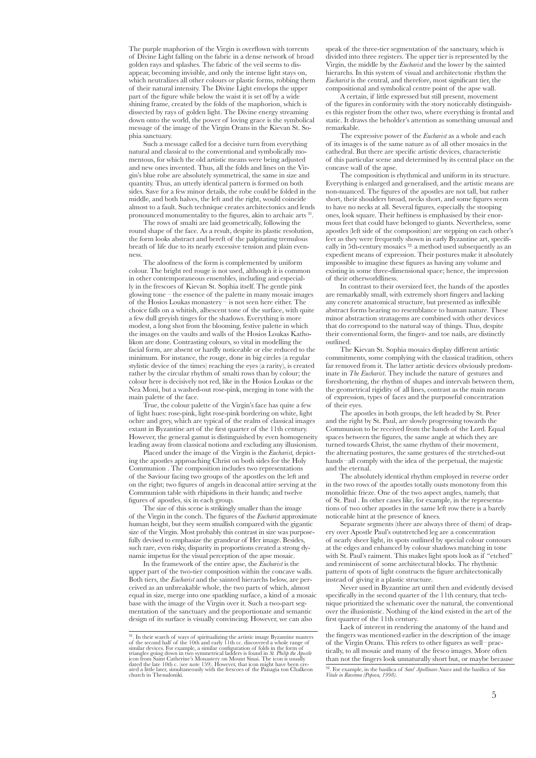The purple maphorion of the Virgin is overflown with torrents of Divine Light falling on the fabric in a dense network of broad golden rays and splashes. The fabric of the veil seems to disappear, becoming invisible, and only the intense light stays on, which neutralizes all other colours or plastic forms, robbing them of their natural intensity. The Divine Light envelops the upper part of the figure while below the waist it is set off by a wide shining frame, created by the folds of the maphorion, which is dissected by rays of golden light. The Divine energy streaming down onto the world, the power of loving grace is the symbolical message of the image of the Virgin Orans in the Kievan St. Sophia sanctuary.

Such a message called for a decisive turn from everything natural and classical to the conventional and symbolically momentous, for which the old artistic means were being adjusted and new ones invented. Thus, all the folds and lines on the Virgin's blue robe are absolutely symmetrical, the same in size and quantity. Thus, an utterly identical pattern is formed on both sides. Save for a few minor details, the robe could be folded in the middle, and both halves, the left and the right, would coincide almost to a fault. Such technique creates architectonics and lends pronounced monumentality to the figures, akin to archaic arts 31.

The rows of smalti are laid geometrically, following the round shape of the face. As a result, despite its plastic resolution, the form looks abstract and bereft of the palpitating tremulous breath of life due to its nearly excessive tension and plain evenness.

The aloofness of the form is complemented by uniform colour. The bright red rouge is not used, although it is common in other contemporaneous ensembles, including and especially in the frescoes of Kievan St. Sophia itself. The gentle pink glowing tone – the essence of the palette in many mosaic images of the Hosios Loukas monastery – is not seen here either. The choice falls on a whitish, albescent tone of the surface, with quite a few dull greyish tinges for the shadows. Everything is more modest, a long shot from the blooming, festive palette in which the images on the vaults and walls of the Hosios Loukas Katholikon are done. Contrasting colours, so vital in modelling the facial form, are absent or hardly noticeable or else reduced to the minimum. For instance, the rouge, done in big circles (a regular stylistic device of the times) reaching the eyes (a rarity), is created rather by the circular rhythm of smalti rows than by colour; the colour here is decisively not red, like in the Hosios Loukas or the Nea Moni, but a washed-out rose-pink, merging in tone with the main palette of the face.

True, the colour palette of the Virgin's face has quite a few of light hues: rose-pink, light rose-pink bordering on white, light ochre and grey, which are typical of the realm of classical images extant in Byzantine art of the first quarter of the 11th century. However, the general gamut is distinguished by even homogeneity leading away from classical notions and excluding any illusionism.

Placed under the image of the Virgin is the *Eucharist,* depicting the apostles approaching Christ on both sides for the Holy Communion . The composition includes two representations of the Saviour facing two groups of the apostles on the left and on the right; two figures of angels in deaconal attire serving at the Communion table with rhipidions in their hands; and twelve figures of apostles, six in each group.

The size of this scene is strikingly smaller than the image of the Virgin in the conch. The figures of the *Eucharist* approximate human height, but they seem smallish compared with the gigantic size of the Virgin. Most probably this contrast in size was purposefully devised to emphasize the grandeur of Her image. Beside such rare, even risky, disparity in proportions created a strong dynamic impetus for the visual perception of the apse mosaic.

In the framework of the entire apse, the *Eucharist* is the upper part of the two-tier composition within the concave walls. Both tiers, the *Eucharist* and the sainted hierarchs below, are perceived as an unbreakable whole, the two parts of which, almost equal in size, merge into one sparkling surface, a kind of a mosaic base with the image of the Virgin over it. Such a two-part segmentation of the sanctuary and the proportionate and semantic design of its surface is visually convincing. However, we can also

speak of the three-tier segmentation of the sanctuary, which is divided into three registers. The upper tier is represented by the Virgin, the middle by the *Eucharist* and the lower by the sainted hierarchs. In this system of visual and architectonic rhythm the *Eucharist* is the central, and therefore, most significant tier, the compositional and symbolical centre point of the apse wall.

A certain, if little expressed but still present, movement of the figures in conformity with the story noticeably distinguishes this register from the other two, where everything is frontal and static. It draws the beholder's attention as something unusual and remarkable.

The expressive power of the *Eucharist* as a whole and each of its images is of the same nature as of all other mosaics in the cathedral. But there are specific artistic devices, characteristic of this particular scene and determined by its central place on the concave wall of the apse.

The composition is rhythmical and uniform in its structure. Everything is enlarged and generalised, and the artistic means are non-nuanced. The figures of the apostles are not tall, but rather short, their shoulders broad, necks short, and some figures seem to have no necks at all. Several figures, especially the stooping ones, look square. Their heftiness is emphasised by their enormous feet that could have belonged to giants. Nevertheless, some apostles (left side of the composition) are stepping on each other's feet as they were frequently shown in early Byzantine art, specifically in 5th-century mosaics <sup>32,</sup> a method used subsequently as an expedient means of expression. Their postures make it absolutely impossible to imagine these figures as having any volume and existing in some three-dimensional space; hence, the impression of their otherworldliness.

In contrast to their oversized feet, the hands of the apostles are remarkably small, with extremely short fingers and lacking any concrete anatomical structure, but presented as inflexible abstract forms bearing no resemblance to human nature. These minor abstraction stratagems are combined with other devices that do correspond to the natural way of things. Thus, despite their conventional form, the finger- and toe nails, are distinctly outlined.

The Kievan St. Sophia mosaics display different artistic commitments, some complying with the classical tradition, others far removed from it. The latter artistic devices obviously predominate in *The Eucharist*. They include the nature of gestures and foreshortening, the rhythm of shapes and intervals between them, the geometrical rigidity of all lines, contrast as the main means of expression, types of faces and the purposeful concentration of their eyes.

The apostles in both groups, the left headed by St. Peter and the right by St. Paul, are slowly progressing towards the Communion to be received from the hands of the Lord. Equal spaces between the figures, the same angle at which they are turned towards Christ, the same rhythm of their movement, the alternating postures, the same gestures of the stretched-out hands –all comply with the idea of the perpetual, the majestic and the eternal.

The absolutely identical rhythm employed in reverse order in the two rows of the apostles totally ousts monotony from this monolithic frieze. One of the two aspect angles, namely, that of St. Paul . In other cases like, for example, in the representations of two other apostles in the same left row there is a barely noticeable hint at the presence of knees.

Separate segments (there are always three of them) of drapery over Apostle Paul's outstretched leg are a concentration of nearly sheer light, its spots outlined by special colour contours at the edges and enhanced by colour shadows matching in tone with St. Paul's raiment. This makes light spots look as if "etched" and reminiscent of some architectural blocks. The rhythmic pattern of spots of light constructs the figure architectonically instead of giving it a plastic structure.

Never used in Byzantine art until then and evidently devised specifically in the second quarter of the 11th century, that technique prioritized the schematic over the natural, the conventional over the illusionistic. Nothing of the kind existed in the art of the first quarter of the 11th century.

Lack of interest in rendering the anatomy of the hand and the fingers was mentioned earlier in the description of the image of the Virgin Orans. This refers to other figures as well–practically, to all mosaic and many of the fresco images. More often than not the fingers look unnaturally short but, or maybe because

<sup>&</sup>lt;sup>31</sup>. In their search of ways of spiritualizing the artistic image Byzantine masters of the second half of the 10th and early 11th cc. discovered a whole range of similar devices. For example, a similar configuration of f

<sup>32</sup>. For example, in the basilica of *Sant*' *Apollinare Nuovo* and the basilica of *San Vitale in Ravenna (Popova, 1998)*.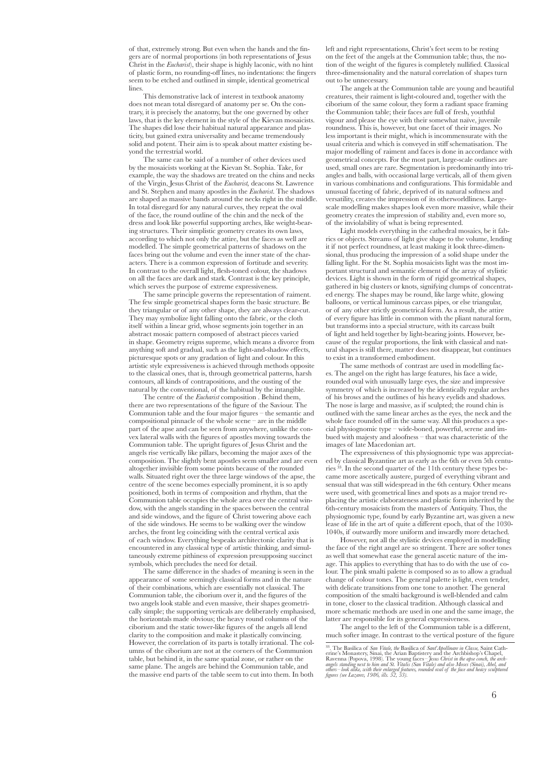of that, extremely strong. But even when the hands and the fingers are of normal proportions (in both representations of Jesus Christ in the *Eucharist*), their shape is highly laconic, with no hint of plastic form, no rounding-off lines, no indentations: the fingers seem to be etched and outlined in simple, identical geometrical lines.

This demonstrative lack of interest in textbook anatomy does not mean total disregard of anatomy per se. On the contrary, it is precisely the anatomy, but the one governed by other laws, that is the key element in the style of the Kievan mosaicists. The shapes did lose their habitual natural appearance and plasticity, but gained extra universality and became tremendously solid and potent. Their aim is to speak about matter existing beyond the terrestrial world.

The same can be said of a number of other devices used by the mosaicists working at the Kievan St. Sophia. Take, for example, the way the shadows are treated on the chins and necks of the Virgin, Jesus Christ of the *Eucharist,* deacons St. Lawrence and St. Stephen and many apostles in the *Eucharist*. The shadows are shaped as massive bands around the necks right in the middle. In total disregard for any natural curves, they repeat the oval of the face, the round outline of the chin and the neck of the dress and look like powerful supporting arches, like weight-bearing structures. Their simplistic geometry creates its own laws, according to which not only the attire, but the faces as well are modelled. The simple geometrical patterns of shadows on the faces bring out the volume and even the inner state of the characters. There is a common expression of fortitude and severity. In contrast to the overall light, flesh-toned colour, the shadows on all the faces are dark and stark. Contrast is the key principle, which serves the purpose of extreme expressiveness.

The same principle governs the representation of raiment. The few simple geometrical shapes form the basic structure. Be they triangular or of any other shape, they are always clear-cut. They may symbolize light falling onto the fabric, or the cloth itself within a linear grid, whose segments join together in an abstract mosaic pattern composed of abstract pieces varied in shape. Geometry reigns supreme, which means a divorce from anything soft and gradual, such as the light-and-shadow effects, picturesque spots or any gradation of light and colour. In this artistic style expressiveness is achieved through methods opposite to the classical ones, that is, through geometrical patterns, harsh contours, all kinds of contrapositions, and the ousting of the natural by the conventional, of the habitual by the intangible.

The centre of the *Eucharist* composition . Behind them, there are two representations of the figure of the Saviour. The Communion table and the four major figures – the semantic and compositional pinnacle of the whole scene – are in the middle part of the apse and can be seen from anywhere, unlike the convex lateral walls with the figures of apostles moving towards the Communion table. The upright figures of Jesus Christ and the angels rise vertically like pillars, becoming the major axes of the composition. The slightly bent apostles seem smaller and are even altogether invisible from some points because of the rounded walls. Situated right over the three large windows of the apse, the centre of the scene becomes especially prominent, it is so aptly positioned, both in terms of composition and rhythm, that the Communion table occupies the whole area over the central window, with the angels standing in the spaces between the central and side windows, and the figure of Christ towering above each of the side windows. He seems to be walking over the window arches, the front leg coinciding with the central vertical axis of each window. Everything bespeaks architectonic clarity that is encountered in any classical type of artistic thinking, and simultaneously extreme pithiness of expression presupposing succinct symbols, which precludes the need for detail.

The same difference in the shades of meaning is seen in the appearance of some seemingly classical forms and in the nature of their combinations, which are essentially not classical. The Communion table, the ciborium over it, and the figures of the two angels look stable and even massive, their shapes geometrically simple; the supporting verticals are deliberately emphasised, the horizontals made obvious; the heavy round columns of the ciborium and the static tower-like figures of the angels all lend clarity to the composition and make it plastically convincing. However, the correlation of its parts is totally irrational. The columns of the ciborium are not at the corners of the Communion table, but behind it, in the same spatial zone, or rather on the same plane. The angels are behind the Communion table, and the massive end parts of the table seem to cut into them. In both

left and right representations, Christ's feet seem to be resting on the feet of the angels at the Communion table; thus, the notion of the weight of the figures is completely nullified. Classical three-dimensionality and the natural correlation of shapes turn out to be unnecessary.

The angels at the Communion table are young and beautiful creatures, their raiment is light-coloured and, together with the ciborium of the same colour, they form a radiant space framing the Communion table; their faces are full of fresh, youthful vigour and please the eye with their somewhat naïve, juvenile roundness. This is, however, but one facet of their images. No less important is their might, which is incommensurate with the usual criteria and which is conveyed in stiff schematisation. The major modelling of raiment and faces is done in accordance with geometrical concepts. For the most part, large-scale outlines are used, small ones are rare. Segmentation is predominantly into triangles and balls, with occasional large verticals, all of them given in various combinations and configurations. This formidable and unusual faceting of fabric, deprived of its natural softness and versatility, creates the impression of its otherworldliness. Largescale modelling makes shapes look even more massive, while their geometry creates the impression of stability and, even more so, of the inviolability of what is being represented.

Light models everything in the cathedral mosaics, be it fabrics or objects. Streams of light give shape to the volume, lending it if not perfect roundness, at least making it look three-dimensional, thus producing the impression of a solid shape under the falling light. For the St. Sophia mosaicists light was the most important structural and semantic element of the array of stylistic devices. Light is shown in the form of rigid geometrical shapes, gathered in big clusters or knots, signifying clumps of concentrated energy. The shapes may be round, like large white, glowing balloons, or vertical luminous carcass pipes, or else triangular, or of any other strictly geometrical form. As a result, the attire of every figure has little in common with the pliant natural form, but transforms into a special structure, with its carcass built of light and held together by light-bearing joints. However, because of the regular proportions, the link with classical and natural shapes is still there, matter does not disappear, but continues to exist in a transformed embodiment.

The same methods of contrast are used in modelling faces. The angel on the right has large features, his face a wide, rounded oval with unusually large eyes, the size and impressive symmetry of which is increased by the identically regular arches of his brows and the outlines of his heavy eyelids and shadows. The nose is large and massive, as if sculpted; the round chin is outlined with the same linear arches as the eyes, the neck and the whole face rounded off in the same way. All this produces a special physiognomic type – wide-boned, powerful, serene and imbued with majesty and aloofness – that was characteristic of the images of late Macedonian art.

The expressiveness of this physiognomic type was appreciated by classical Byzantine art as early as the 6th or even 5th centuries <sup>33</sup>. In the second quarter of the 11th century these types became more ascetically austere, purged of everything vibrant and sensual that was still widespread in the 6th century. Other means were used, with geometrical lines and spots as a major trend replacing the artistic elaborateness and plastic form inherited by the 6th-century mosaicists from the masters of Antiquity. Thus, the physiognomic type, found by early Byzantine art, was given a new lease of life in the art of quite a different epoch, that of the 1030- 1040s, if outwardly more uniform and inwardly more detached.

However, not all the stylistic devices employed in modelling the face of the right angel are so stringent. There are softer tones as well that somewhat ease the general ascetic nature of the image. This applies to everything that has to do with the use of colour. The pink smalti palette is composed so as to allow a gradual change of colour tones. The general palette is light, even tender, with delicate transitions from one tone to another. The general composition of the smalti background is well-blended and calm in tone, closer to the classical tradition. Although classical and more schematic methods are used in one and the same image, the latter are responsible for its general expressiveness.

The angel to the left of the Communion table is a different, much softer image. In contrast to the vertical posture of the figure

<sup>33</sup>. The Basilica of *San Vitale, the* Basilica of *Sant*'*Apollinare in Classe,* Saint Cath- erine's Monastery, Sinai, the Arian Baptistery and the Archbishop's Chapel, Ravenna (Popova, 1998). The young faces *– Jesus Christ in the apse conch, the arch- angels standing next to him and St. Vitalis (San Vitale) and also Moses (Sinai), Abel, and others–look alike, with their enlarged features, rounded oval of the face and heavy sculptured figures (see Lazarev, 1986, ills. 52, 53).*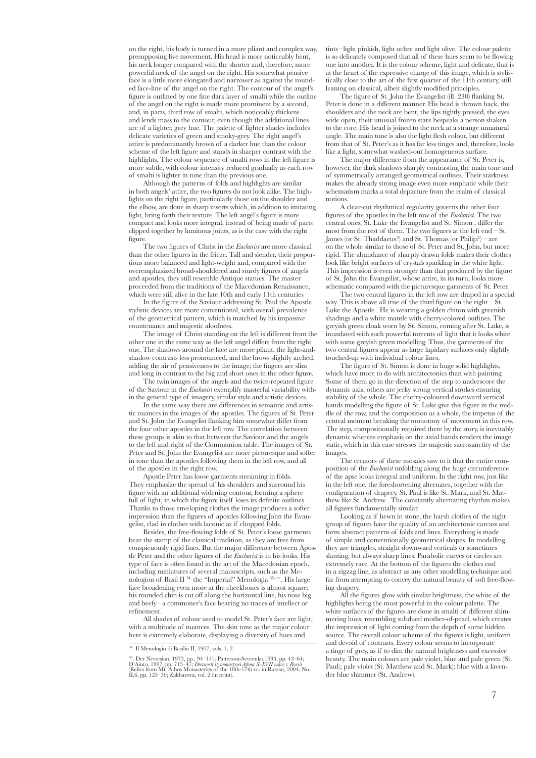on the right, his body is turned in a more pliant and complex way, presupposing live movement. His head is more noticeably bent, his neck longer compared with the shorter and, therefore, more powerful neck of the angel on the right. His somewhat pensive face is a little more elongated and narrower as against the rounded face-line of the angel on the right. The contour of the angel's figure is outlined by one fine dark layer of smalti while the outline of the angel on the right is made more prominent by a second, and, in parts, third row of smalti, which noticeably thickens and lends mass to the contour, even though the additional lines are of a lighter, grey hue. The palette of lighter shades includes delicate varieties of green and smoky-grey. The right angel's attire is predominantly brown of a darker hue than the colour scheme of the left figure and stands in sharper contrast with the highlights. The colour sequence of smalti rows in the left figure is more subtle, with colour intensity reduced gradually as each row of smalti is lighter in tone than the previous one.

Although the patterns of folds and highlights are similar in both angels' attire, the two figures do not look alike. The highlights on the right figure, particularly those on the shoulder and the elbow, are done in sharp inserts which, in addition to imitating light, bring forth their texture. The left angel's figure is more compact and looks more integral, instead of being made of parts clipped together by luminous joints, as is the case with the right figure.

The two figures of Christ in the *Eucharist* are more classical than the other figures in the frieze. Tall and slender, their proportions more balanced and light-weight and, compared with the overemphasized broad-shouldered and sturdy figures of angels and apostles, they still resemble Antique statues. The master proceeded from the traditions of the Macedonian Renaissance, which were still alive in the late 10th and early 11th centuries

In the figure of the Saviour addressing St. Paul the Apostle stylistic devices are more conventional, with overall prevalence of the geometrical pattern, which is matched by his impassive countenance and majestic aloofness.

The image of Christ standing on the left is different from the other one in the same way as the left angel differs from the right one. The shadows around the face are more pliant, the light-andshadow contrasts less pronounced, and the brows slightly arched, adding the air of pensiveness to the image; the fingers are slim and long in contrast to the big and short ones in the other figure.

The twin images of the angels and the twice-repeated figure of the Saviour in the *Eucharist* exemplify masterful variability within the general type of imagery, similar style and artistic devices.

In the same way there are differences in semantic and artistic nuances in the images of the apostles. The figures of St. Peter and St. John the Evangelist flanking him somewhat differ from the four other apostles in the left row. The correlation between these groups is akin to that between the Saviour and the angels to the left and right of the Communion table. The images of St. Peter and St. John the Evangelist are more picturesque and softer in tone than the apostles following them in the left row, and all of the apostles in the right row.

Apostle Peter has loose garments streaming in folds. They emphasize the spread of his shoulders and surround his figure with an additional widening contour, forming a sphere full of light, in which the figure itself loses its definite outlines. Thanks to those enveloping clothes the image produces a softer impression than the figures of apostles following John the Evangelist, clad in clothes with laconic as if chopped folds.

Besides, the free-flowing folds of St. Peter's loose garments bear the stamp of the classical tradition, as they are free from conspicuously rigid lines. But the major difference between Apostle Peter and the other figures of the *Eucharist* is in his looks. His type of face is often found in the art of the Macedonian epoch, including miniatures of several manuscripts, such as the Menologion of Basil II<sup>34,</sup> the "Imperial" Menologia<sup>35, etc</sup>. His large face broadening even more at the cheekbones is almost square; his rounded chin is cut off along the horizontal line, his nose big and beefy–a commoner's face bearing no traces of intellect or refinement.

All shades of colour used to model St. Peter's face are light, with a multitude of nuances. The skin tone as the major colour here is extremely elaborate, displaying a diversity of hues and

tints-light pinkish, light ochre and light olive. The colour palette is so delicately composed that all of these hues seem to be flowing one into another. It is the colour scheme, light and delicate, that is at the heart of the expressive charge of this image, which is stylistically close to the art of the first quarter of the 11th century, still leaning on classical, albeit slightly modified principles.

The figure of St. John the Evangelist (ill. 230) flanking St. Peter is done in a different manner. His head is thrown back, the shoulders and the neck are bent, the lips tightly pressed, the eyes wide open, their unusual frozen stare bespeaks a person shaken to the core. His head is joined to the neck at a strange unnatural angle. The main tone is also the light flesh colour, but different from that of St. Peter's as it has far less tinges and, therefore, looks like a light, somewhat washed-out homogeneous surface.

The major difference from the appearance of St. Peter is, however, the dark shadows sharply contrasting the main tone and of symmetrically arranged geometrical outlines. Their starkness makes the already strong image even more emphatic while their schematism marks a total departure from the realm of classical notions.

A clear-cut rhythmical regularity governs the other four figures of the apostles in the left row of the *Eucharist*. The two central ones, St. Luke the Evangelist and St. Simon , differ the most from the rest of them. The two figures at the left end – St. James (or St. Thaddaeus?) and St. Thomas (or Philip?) – are on the whole similar to those of St. Peter and St. John, but more rigid. The abundance of sharply drawn folds makes their clothes look like bright surfaces of crystals sparkling in the white light. This impression is even stronger than that produced by the figure of St. John the Evangelist, whose attire, in its turn, looks more schematic compared with the picturesque garments of St. Peter.

The two central figures in the left row are draped in a special way. This is above all true of the third figure on the right – St. Luke the Apostle . He is wearing a golden chiton with greenish shadings and a white mantle with cherry-colored outlines. The greyish green cloak worn by St. Simon, coming after St. Luke, is inundated with such powerful torrents of light that it looks white with some greyish green modelling. Thus, the garments of the two central figures appear as large lapidary surfaces only slightly touched-up with individual colour lines.

The figure of St. Simon is done in huge solid highlights, which have more to do with architectonics than with painting. Some of them go in the direction of the step to underscore the dynamic axis, others are jerky strong vertical strokes ensuring stability of the whole. The cherry-coloured downward vertical bands modelling the figure of St. Luke give this figure in the middle of the row, and the composition as a whole, the impetus of the central moment breaking the monotony of movement in this row. The step, compositionally required there by the story, is inevitably dynamic whereas emphasis on the axial bands renders the image static, which in this case stresses the majestic sacrosanctity of the images.

The creators of these mosaics saw to it that the entire composition of the *Eucharist* unfolding along the huge circumference of the apse looks integral and uniform. In the right row, just like in the left one, the foreshortening alternates, together with the configuration of drapery. St. Paul is like St. Mark, and St. Matthew like St. Andrew . The constantly alternating rhythm makes all figures fundamentally similar.

Looking as if hewn in stone, the harsh clothes of the right group of figures have the quality of an architectonic carcass and form abstract patterns of folds and lines. Everything is made of simple and conventionally geometrical shapes. In modelling they are triangles, straight downward verticals or sometimes slanting, but always sharp lines. Parabolic curves or circles are extremely rare. At the bottom of the figures the clothes end in a zigzag line, as abstract as any other modelling technique and far from attempting to convey the natural beauty of soft free-flowing drapery.

All the figures glow with similar brightness, the white of the highlights being the most powerful in the colour palette. The white surfaces of the figures are done in smalti of different shimmering hues, resembling subdued mother-of-pearl, which creates the impression of light coming from the depth of some hidden source. The overall colour scheme of the figures is light, uniform and devoid of contrasts. Every colour seems to incorporate a tinge of grey, as if to dim the natural brightness and excessive beauty. The main colours are pale violet, blue and pale green (St. Paul); pale violet (St. Matthew and St. Mark); blue with a lavender blue shimmer (St. Andrew).

 $\overline{^{34}.}$  Il Menologio di Basilio II, 1907, vols. 1, 2.

<sup>&</sup>lt;sup>35</sup>. Der Nersesian, 1973, pp.. 94–111; Patterson-Sevcenko, 1993, pp. 43–64;<br>D'Aiuto, 1997, pp. 715–47; *Dremosti iz monastyrei Afona X-XVII vekov v Rossii*<br>(Relics from Mt. Athos Monasteries of the 10th-17th cc. in Russia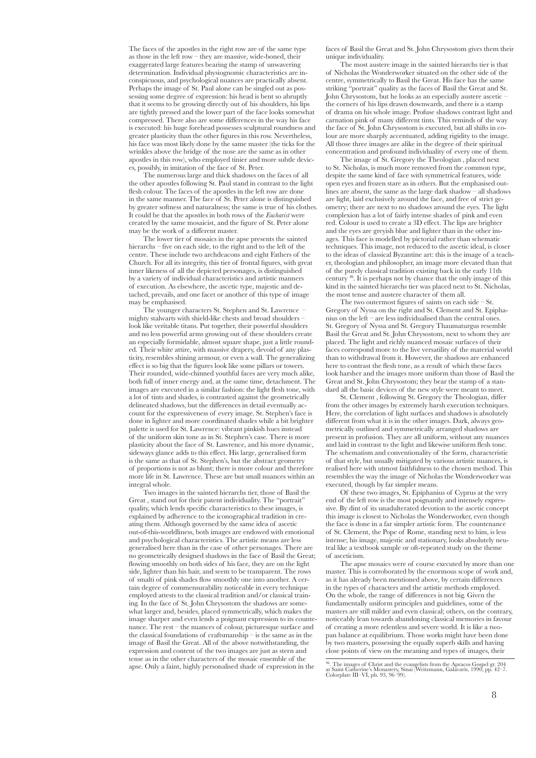The faces of the apostles in the right row are of the same type as those in the left row – they are massive, wide-boned, their exaggerated large features bearing the stamp of unwavering determination. Individual physiognomic characteristics are inconspicuous, and psychological nuances are practically absent. Perhaps the image of St. Paul alone can be singled out as possessing some degree of expression: his head is bent so abruptly that it seems to be growing directly out of his shoulders, his lips are tightly pressed and the lower part of the face looks somewhat compressed. There also are some differences in the way his face is executed: his huge forehead possesses sculptural roundness and greater plasticity than the other figures in this row. Nevertheless, his face was most likely done by the same master (the ticks for the wrinkles above the bridge of the nose are the same as in other apostles in this row), who employed tinier and more subtle devices, possibly, in imitation of the face of St. Peter.

The numerous large and thick shadows on the faces of all the other apostles following St. Paul stand in contrast to the light flesh colour. The faces of the apostles in the left row are done in the same manner. The face of St. Peter alone is distinguished by greater softness and naturalness; the same is true of his clothes. It could be that the apostles in both rows of the *Eucharist* were created by the same mosaicist, and the figure of St. Peter alone may be the work of a different master.

The lower tier of mosaics in the apse presents the sainted hierarchs – five on each side, to the right and to the left of the centre. These include two archdeacons and eight Fathers of the Church. For all its integrity, this tier of frontal figures, with great inner likeness of all the depicted personages, is distinguished by a variety of individual characteristics and artistic manners of execution. As elsewhere, the ascetic type, majestic and detached, prevails, and one facet or another of this type of image may be emphasised.

The younger characters St. Stephen and St. Lawrence mighty stalwarts with shield-like chests and broad shoulders – look like veritable titans. Put together, their powerful shoulders and no less powerful arms growing out of these shoulders create an especially formidable, almost square shape, just a little rounded. Their white attire, with massive drapery, devoid of any plasticity, resembles shining armour, or even a wall. The generalizing effect is so big that the figures look like some pillars or towers. Their rounded, wide-chinned youthful faces are very much alike, both full of inner energy and, at the same time, detachment. The images are executed in a similar fashion: the light flesh tone, with a lot of tints and shades, is contrasted against the geometrically delineated shadows, but the differences in detail eventually account for the expressiveness of every image. St. Stephen's face is done in lighter and more coordinated shades while a bit brighter palette is used for St. Lawrence: vibrant pinkish hues instead of the uniform skin tone as in St. Stephen's case. There is more plasticity about the face of St. Lawrence, and his more dynamic, sideways glance adds to this effect. His large, generalised form is the same as that of St. Stephen's, but the abstract geometry of proportions is not as blunt; there is more colour and therefore more life in St. Lawrence. These are but small nuances within an integral whole.

Two images in the sainted hierarchs tier, those of Basil the Great , stand out for their patent individuality. The "portrait" quality, which lends specific characteristics to these images, is explained by adherence to the iconographical tradition in creating them. Although governed by the same idea of ascetic out-of-this-worldliness, both images are endowed with emotional and psychological characteristics. The artistic means are less generalised here than in the case of other personages. There are no geometrically designed shadows in the face of Basil the Great; flowing smoothly on both sides of his face, they are on the light side, lighter than his hair, and seem to be transparent. The rows of smalti of pink shades flow smoothly one into another. A certain degree of commensurability noticeable in every technique employed attests to the classical tradition and/or classical training. In the face of St. John Chrysostom the shadows are somewhat larger and, besides, placed symmetrically, which makes the image sharper and even lends a poignant expression to its countenance. The rest – the nuances of colour, picturesque surface and the classical foundations of craftsmanship – is the same as in the image of Basil the Great. All of the above notwithstanding, the expression and content of the two images are just as stern and tense as in the other characters of the mosaic ensemble of the apse. Only a faint, highly personalised shade of expression in the

faces of Basil the Great and St. John Chrysostom gives them their unique individuality.

The most austere image in the sainted hierarchs tier is that of Nicholas the Wonderworker situated on the other side of the centre, symmetrically to Basil the Great. His face has the same striking "portrait" quality as the faces of Basil the Great and St. John Chrysostom, but he looks as an especially austere ascetic – the corners of his lips drawn downwards, and there is a stamp of drama on his whole image. Profuse shadows contrast light and carnation pink of many different tints. This reminds of the way the face of St. John Chrysostom is executed, but all shifts in colour are more sharply accentuated, adding rigidity to the image. All those three images are alike in the degree of their spiritual concentration and profound individuality of every one of them.

The image of St. Gregory the Theologian , placed next to St. Nicholas, is much more removed from the common type, despite the same kind of face with symmetrical features, wide open eyes and frozen stare as in others. But the emphasised outlines are absent, the same as the large dark shadow – all shadows are light, laid exclusively around the face, and free of strict geometry; there are next to no shadows around the eyes. The light complexion has a lot of fairly intense shades of pink and even red. Colour is used to create a 3D effect. The lips are brighter and the eyes are greyish blue and lighter than in the other images. This face is modelled by pictorial rather than schematic techniques. This image, not reduced to the ascetic ideal, is closer to the ideas of classical Byzantine art: this is the image of a teacher, theologian and philosopher, an image more elevated than that of the purely classical tradition existing back in the early 11th century 36. It is perhaps not by chance that the only image of this kind in the sainted hierarchs tier was placed next to St. Nicholas, the most tense and austere character of them all.

The two outermost figures of saints on each side  $-$  St. Gregory of Nyssa on the right and St. Clement and St. Epiphanius on the left – are less individualised than the central ones. St. Gregory of Nyssa and St. Gregory Thaumaturgus resemble Basil the Great and St. John Chrysostom, next to whom they are placed. The light and richly nuanced mosaic surfaces of their faces correspond more to the live versatility of the material world than to withdrawal from it. However, the shadows are enhanced here to contrast the flesh tone, as a result of which these faces look harsher and the images more uniform than those of Basil the Great and St. John Chrysostom; they bear the stamp of a standard all the basic devices of the new style were meant to meet.

St. Clement , following St. Gregory the Theologian, differ from the other images by extremely harsh execution techniques. Here, the correlation of light surfaces and shadows is absolutely different from what it is in the other images. Dark, always geometrically outlined and symmetrically arranged shadows are present in profusion. They are all uniform, without any nuances and laid in contrast to the light and likewise uniform flesh tone. The schematism and conventionality of the form, characteristic of that style, but usually mitigated by various artistic nuances, is realised here with utmost faithfulness to the chosen method. This resembles the way the image of Nicholas the Wonderworker was executed, though by far simpler means.

Of these two images, St. Epiphanius of Cyprus at the very end of the left row is the most poignantly and intensely expressive. By dint of its unadulterated devotion to the ascetic concept this image is closest to Nicholas the Wonderworker, even though the face is done in a far simpler artistic form. The countenance of St. Clement, the Pope of Rome, standing next to him, is less intense; his image, majestic and stationary, looks absolutely neutral like a textbook sample or oft-repeated study on the theme of asceticism.

The apse mosaics were of course executed by more than one master. This is corroborated by the enormous scope of work and, as it has already been mentioned above, by certain differences in the types of characters and the artistic methods employed. On the whole, the range of differences is not big. Given the fundamentally uniform principles and guidelines, some of the masters are still milder and even classical; others, on the contrary, noticeably lean towards abandoning classical memories in favour of creating a more relentless and severe world. It is like a twopan balance at equilibrium. Those works might have been done by two masters, possessing the equally superb skills and having close points of view on the meaning and types of images, their

<sup>36</sup>. The images of Christ and the evangelists from the Apracos Gospel gr. 204 at Saint Catherine's Monastery, Sinai (Weitzmann, Galavaris, 1990, pp. 42–7. Colorplate III–VI, pls. 93, 96–99).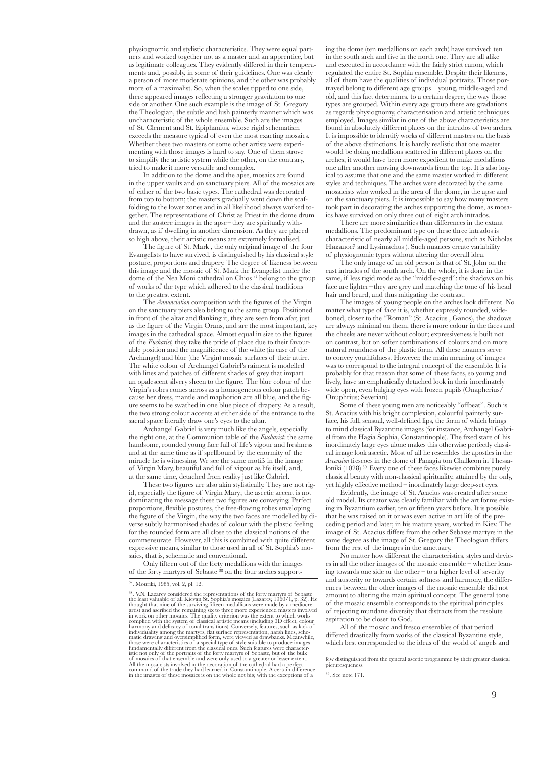physiognomic and stylistic characteristics. They were equal partners and worked together not as a master and an apprentice, but as legitimate colleagues. They evidently differed in their temperaments and, possibly, in some of their guidelines. One was clearly a person of more moderate opinions, and the other was probably more of a maximalist. So, when the scales tipped to one side, there appeared images reflecting a stronger gravitation to one side or another. One such example is the image of St. Gregory the Theologian, the subtle and lush painterly manner which was uncharacteristic of the whole ensemble. Such are the images of St. Clement and St. Epiphanius, whose rigid schematism exceeds the measure typical of even the most exacting mosaics. Whether these two masters or some other artists were experimenting with those images is hard to say. One of them strove to simplify the artistic system while the other, on the contrary, tried to make it more versatile and complex.

In addition to the dome and the apse, mosaics are found in the upper vaults and on sanctuary piers. All of the mosaics are of either of the two basic types. The cathedral was decorated from top to bottom; the masters gradually went down the scaffolding to the lower zones and in all likelihood always worked together. The representations of Christ as Priest in the dome drum and the austere images in the apse–they are spiritually withdrawn, as if dwelling in another dimension. As they are placed so high above, their artistic means are extremely formalised.

The figure of St. Mark , the only original image of the four Evangelists to have survived, is distinguished by his classical style posture, proportions and drapery. The degree of likeness between this image and the mosaic of St. Mark the Evangelist under the dome of the Nea Moni cathedral on Chios 37 belong to the group of works of the type which adhered to the classical traditions to the greatest extent.

The *Annunciation* composition with the figures of the Virgin on the sanctuary piers also belong to the same group. Positioned in front of the altar and flanking it, they are seen from afar, just as the figure of the Virgin Orans, and are the most important, key images in the cathedral space. Almost equal in size to the figures of the *Eucharist,* they take the pride of place due to their favourable position and the magnificence of the white (in case of the Archangel) and blue (the Virgin) mosaic surfaces of their attire. The white colour of Archangel Gabriel's raiment is modelled with lines and patches of different shades of grey that impart an opalescent silvery sheen to the figure. The blue colour of the Virgin's robes comes across as a homogeneous colour patch because her dress, mantle and maphorion are all blue, and the figure seems to be swathed in one blue piece of drapery. As a result, the two strong colour accents at either side of the entrance to the sacral space literally draw one's eyes to the altar.

Archangel Gabriel is very much like the angels, especially the right one, at the Communion table of the *Eucharist:* the same handsome, rounded young face full of life's vigour and freshness and at the same time as if spellbound by the enormity of the miracle he is witnessing. We see the same motifs in the image of Virgin Mary, beautiful and full of vigour as life itself, and, at the same time, detached from reality just like Gabriel.

These two figures are also akin stylistically. They are not rigid, especially the figure of Virgin Mary; the ascetic accent is not dominating the message these two figures are conveying. Perfect proportions, flexible postures, the free-flowing robes enveloping the figure of the Virgin, the way the two faces are modelled by diverse subtly harmonised shades of colour with the plastic feeling for the rounded form are all close to the classical notions of the commensurate. However, all this is combined with quite different expressive means, similar to those used in all of St. Sophia's mosaics, that is, schematic and conventional.

Only fifteen out of the forty medallions with the images of the forty martyrs of Sebaste 38 on the four arches supporting the dome (ten medallions on each arch) have survived: ten in the south arch and five in the north one. They are all alike and executed in accordance with the fairly strict canon, which regulated the entire St. Sophia ensemble. Despite their likeness, all of them have the qualities of individual portraits. Those portrayed belong to different age groups – young, middle-aged and old, and this fact determines, to a certain degree, the way those types are grouped. Within every age group there are gradations as regards physiognomy, characterisation and artistic techniques employed. Images similar in one of the above characteristics are found in absolutely different places on the intrados of two arches. It is impossible to identify works of different masters on the basis of the above distinctions. It is hardly realistic that one master would be doing medallions scattered in different places on the arches; it would have been more expedient to make medallions one after another moving downwards from the top. It is also logical to assume that one and the same master worked in different styles and techniques. The arches were decorated by the same mosaicists who worked in the area of the dome, in the apse and on the sanctuary piers. It is impossible to say how many masters took part in decorating the arches supporting the dome, as mosaics have survived on only three out of eight arch intrados.

There are more similarities than differences in the extant medallions. The predominant type on these three intrados is characteristic of nearly all middle-aged persons, such as Nicholas Никалос? and Lysimachus ). Such nuances create variability of physiognomic types without altering the overall idea.

The only image of an old person is that of St. John on the east intrados of the south arch. On the whole, it is done in the same, if less rigid mode as the "middle-aged": the shadows on his face are lighter–they are grey and matching the tone of his head hair and beard, and thus mitigating the contrast.

The images of young people on the arches look different. No matter what type of face it is, whether expressly rounded, wideboned, closer to the "Roman" (St. Acacius , Ganos), the shadows are always minimal on them, there is more colour in the faces and the cheeks are never without colour; expressiveness is built not on contrast, but on softer combinations of colours and on more natural roundness of the plastic form. All these nuances serve to convey youthfulness. However, the main meaning of images was to correspond to the integral concept of the ensemble. It is probably for that reason that some of these faces, so young and lively, have an emphatically detached look in their inordinately wide open, even bulging eyes with frozen pupils (Onapherius/ Onuphrius; Severian).

Some of these young men are noticeably "offbeat". Such is St. Acacius with his bright complexion, colourful painterly surface, his full, sensual, well-defined lips, the form of which brings to mind classical Byzantine images (for instance, Archangel Gabriel from the Hagia Sophia, Constantinople). The fixed stare of his inordinately large eyes alone makes this otherwise perfectly classical image look ascetic. Most of all he resembles the apostles in the *Ascension* frescoes in the dome of Panagia ton Chalkeon in Thessaloniki (1028)<sup>39</sup>. Every one of these faces likewise combines purely classical beauty with non-classical spirituality, attained by the only, yet highly effective method – inordinately large deep-set eyes.

Evidently, the image of St. Acacius was created after some old model. Its creator was clearly familiar with the art forms existing in Byzantium earlier, ten or fifteen years before. It is possible that he was raised on it or was even active in art life of the preceding period and later, in his mature years, worked in Kiev. The image of St. Acacius differs from the other Sebaste martyrs in the same degree as the image of St. Gregory the Theologian differs from the rest of the images in the sanctuary.

No matter how different the characteristics, styles and devices in all the other images of the mosaic ensemble – whether leaning towards one side or the other – to a higher level of severity and austerity or towards certain softness and harmony, the differences between the other images of the mosaic ensemble did not amount to altering the main spiritual concept. The general tone of the mosaic ensemble corresponds to the spiritual principles of rejecting mundane diversity that distracts from the resolute aspiration to be closer to God.

All of the mosaic and fresco ensembles of that period differed drastically from works of the classical Byzantine style, which best corresponded to the ideas of the world of angels and

<sup>37</sup>. Mouriki, 1985, vol. 2, pl. 12.

<sup>&</sup>lt;sup>38</sup>. V.N. Lazarev considered the representations of the forty martyrs of Sebaste the least valuable of all Kievan St. Sophia's mosaics (Lazarev, 1960/1, p. 32). He thought that nine of the surviving fifteen medallions we fundamentally different from the classical ones. Such features were characteristic not only of the portraits of the forty martyrs of Sebaste, but of the bulk<br>of mosaics of that ensemble and were only used to a greater or l

few distinguished from the general ascetic programme by their greater classical picturesquenes

<sup>39</sup>. See note 171.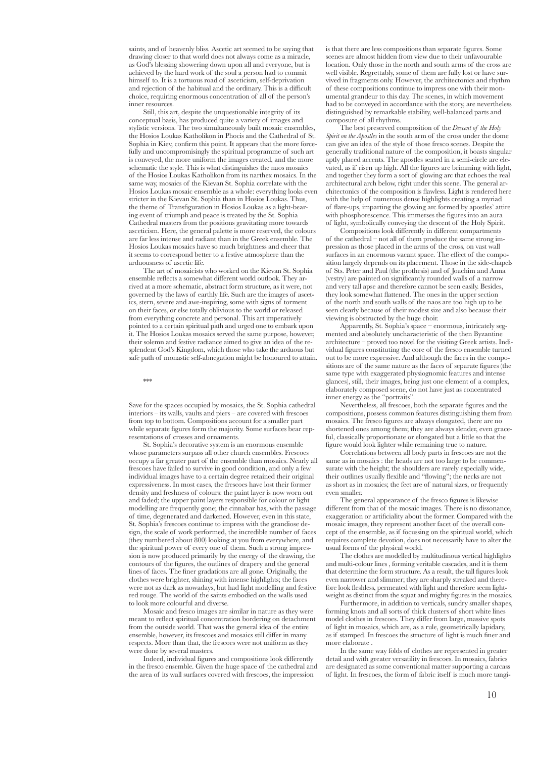saints, and of heavenly bliss. Ascetic art seemed to be saying that drawing closer to that world does not always come as a miracle, as God's blessing showering down upon all and everyone, but is achieved by the hard work of the soul a person had to commit himself to. It is a tortuous road of asceticism, self-deprivation and rejection of the habitual and the ordinary. This is a difficult choice, requiring enormous concentration of all of the person's inner resources.

Still, this art, despite the unquestionable integrity of its conceptual basis, has produced quite a variety of images and stylistic versions. The two simultaneously built mosaic ensembles, the Hosios Loukas Katholikon in Phocis and the Cathedral of St. Sophia in Kiev, confirm this point. It appears that the more forcefully and uncompromisingly the spiritual programme of such art is conveyed, the more uniform the images created, and the more schematic the style. This is what distinguishes the naos mosaics of the Hosios Loukas Katholikon from its narthex mosaics. In the same way, mosaics of the Kievan St. Sophia correlate with the Hosios Loukas mosaic ensemble as a whole: everything looks even stricter in the Kievan St. Sophia than in Hosios Loukas. Thus, the theme of Transfiguration in Hosios Loukas as a light-bearing event of triumph and peace is treated by the St. Sophia Cathedral masters from the positions gravitating more towards asceticism. Here, the general palette is more reserved, the colours are far less intense and radiant than in the Greek ensemble. The Hosios Loukas mosaics have so much brightness and cheer that it seems to correspond better to a festive atmosphere than the arduousness of ascetic life.

The art of mosaicists who worked on the Kievan St. Sophia ensemble reflects a somewhat different world outlook. They arrived at a more schematic, abstract form structure, as it were, not governed by the laws of earthly life. Such are the images of ascetics, stern, severe and awe-inspiring, some with signs of torment on their faces, or else totally oblivious to the world or released from everything concrete and personal. This art imperatively pointed to a certain spiritual path and urged one to embark upon it. The Hosios Loukas mosaics served the same purpose, however, their solemn and festive radiance aimed to give an idea of the resplendent God's Kingdom, which those who take the arduous but safe path of monastic self-abnegation might be honoured to attain.

 $**$ 

Save for the spaces occupied by mosaics, the St. Sophia cathedral interiors – its walls, vaults and piers – are covered with frescoes from top to bottom. Compositions account for a smaller part while separate figures form the majority. Some surfaces bear representations of crosses and ornaments.

St. Sophia's decorative system is an enormous ensemble whose parameters surpass all other church ensembles. Frescoes occupy a far greater part of the ensemble than mosaics. Nearly all frescoes have failed to survive in good condition, and only a few individual images have to a certain degree retained their original expressiveness. In most cases, the frescoes have lost their former density and freshness of colours: the paint layer is now worn out and faded; the upper paint layers responsible for colour or light modelling are frequently gone; the cinnabar has, with the passage of time, degenerated and darkened. However, even in this state, St. Sophia's frescoes continue to impress with the grandiose design, the scale of work performed, the incredible number of faces (they numbered about 800) looking at you from everywhere, and the spiritual power of every one of them. Such a strong impression is now produced primarily by the energy of the drawing, the contours of the figures, the outlines of drapery and the general lines of faces. The finer gradations are all gone. Originally, the clothes were brighter, shining with intense highlights; the faces were not as dark as nowadays, but had light modelling and festive red rouge. The world of the saints embodied on the walls used to look more colourful and diverse.

Mosaic and fresco images are similar in nature as they were meant to reflect spiritual concentration bordering on detachment from the outside world. That was the general idea of the entire ensemble, however, its frescoes and mosaics still differ in many respects. More than that, the frescoes were not uniform as they were done by several masters.

Indeed, individual figures and compositions look differently in the fresco ensemble. Given the huge space of the cathedral and the area of its wall surfaces covered with frescoes, the impression

is that there are less compositions than separate figures. Some scenes are almost hidden from view due to their unfavourable location. Only those in the north and south arms of the cross are well visible. Regrettably, some of them are fully lost or have survived in fragments only. However, the architectonics and rhythm of these compositions continue to impress one with their monumental grandeur to this day. The scenes, in which movement had to be conveyed in accordance with the story, are nevertheless distinguished by remarkable stability, well-balanced parts and composure of all rhythms.

The best preserved composition of the *Descent of the Holy Spirit on the Apostles* in the south arm of the cross under the dome can give an idea of the style of those fresco scenes. Despite the generally traditional nature of the composition, it boasts singular aptly placed accents. The apostles seated in a semi-circle are elevated, as if risen up high. All the figures are brimming with light, and together they form a sort of glowing arc that echoes the real architectural arch below, right under this scene. The general architectonics of the composition is flawless. Light is rendered here with the help of numerous dense highlights creating a myriad of flare-ups, imparting the glowing arc formed by apostles' attire with phosphorescence. This immerses the figures into an aura of light, symbolically conveying the descent of the Holy Spirit.

Compositions look differently in different compartments of the cathedral – not all of them produce the same strong impression as those placed in the arms of the cross, on vast wall surfaces in an enormous vacant space. The effect of the composition largely depends on its placement. Those in the side-chapels of Sts. Peter and Paul (the prothesis) and of Joachim and Anna (vestry) are painted on significantly rounded walls of a narrow and very tall apse and therefore cannot be seen easily. Besides, they look somewhat flattened. The ones in the upper section of the north and south walls of the naos are too high up to be seen clearly because of their modest size and also because their viewing is obstructed by the huge choir.

Apparently, St. Sophia's space – enormous, intricately segmented and absolutely uncharacteristic of the then Byzantine architecture – proved too novel for the visiting Greek artists. Individual figures constituting the core of the fresco ensemble turned out to be more expressive. And although the faces in the compositions are of the same nature as the faces of separate figures (the same type with exaggerated physiognomic features and intense glances), still, their images, being just one element of a complex, elaborately composed scene, do not have just as concentrated inner energy as the "portraits".

Nevertheless, all frescoes, both the separate figures and the compositions, possess common features distinguishing them from mosaics. The fresco figures are always elongated, there are no shortened ones among them; they are always slender, even graceful, classically proportionate or elongated but a little so that the figure would look lighter while remaining true to nature.

Correlations between all body parts in frescoes are not the same as in mosaics : the heads are not too large to be commensurate with the height; the shoulders are rarely especially wide, their outlines usually flexible and "flowing"; the necks are not as short as in mosaics; the feet are of natural sizes, or frequently even smaller.

The general appearance of the fresco figures is likewise different from that of the mosaic images. There is no dissonance, exaggeration or artificiality about the former. Compared with the mosaic images, they represent another facet of the overall concept of the ensemble, as if focussing on the spiritual world, which requires complete devotion, does not necessarily have to alter the usual forms of the physical world.

The clothes are modelled by multitudinous vertical highlights and multi-colour lines , forming veritable cascades, and it is them that determine the form structure. As a result, the tall figures look even narrower and slimmer; they are sharply streaked and therefore look fleshless, permeated with light and therefore seem lightweight as distinct from the squat and mighty figures in the mosaics.

Furthermore, in addition to verticals, sundry smaller shapes, forming knots and all sorts of thick clusters of short white lines model clothes in frescoes. They differ from large, massive spots of light in mosaics, which are, as a rule, geometrically lapidary, as if stamped. In frescoes the structure of light is much finer and more elaborate .

In the same way folds of clothes are represented in greater detail and with greater versatility in frescoes. In mosaics, fabrics are designated as some conventional matter supporting a carcass of light. In frescoes, the form of fabric itself is much more tangi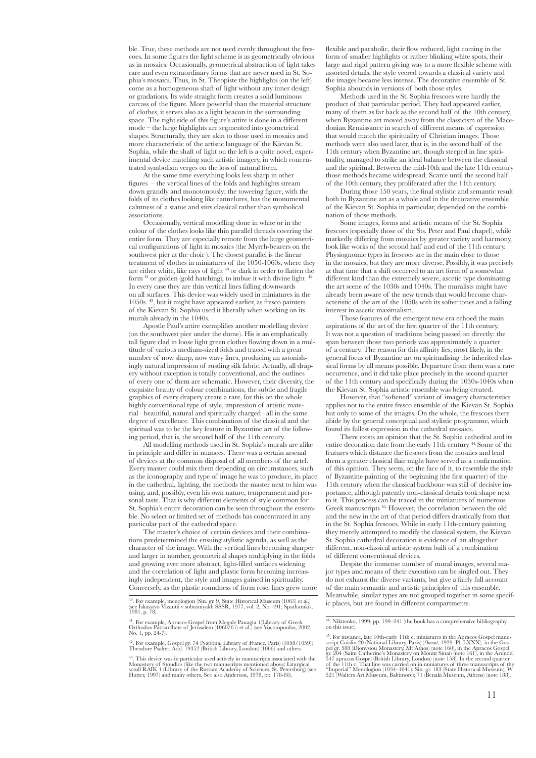ble. True, these methods are not used evenly throughout the frescoes. In some figures the light scheme is as geometrically obvious as in mosaics. Occasionally, geometrical abstraction of light takes rare and even extraordinary forms that are never used in St. Sophia's mosaics. Thus, in St. Theopiste the highlights (on the left) come as a homogeneous shaft of light without any inner design or gradations. Its wide straight form creates a solid luminous carcass of the figure. More powerful than the material structure of clothes, it serves also as a light beacon in the surrounding space. The right side of this figure's attire is done in a different mode – the large highlights are segmented into geometrical shapes. Structurally, they are akin to those used in mosaics and more characteristic of the artistic language of the Kievan St. Sophia, while the shaft of light on the left is a quite novel, experimental device matching such artistic imagery, in which concentrated symbolism verges on the loss of natural form.

At the same time everything looks less sharp in other figures – the vertical lines of the folds and highlights stream down grandly and monotonously; the towering figure, with the folds of its clothes looking like cannelures, has the monumental calmness of a statue and stirs classical rather than symbolical associations.

Occasionally, vertical modelling done in white or in the colour of the clothes looks like thin parallel threads covering the entire form. They are especially remote from the large geometrical configurations of light in mosaics (the Myrrh-bearers on the southwest pier at the choir ). The closest parallel is the linear treatment of clothes in miniatures of the 1050-1060s, where they are either white, like rays of light  $40$  or dark in order to flatten the form  $41$  or golden (gold hatching), to imbue it with divine light In every case they are thin vertical lines falling downwards on all surfaces. This device was widely used in miniatures in the 1050s 43, but it might have appeared earlier, as fresco painters of the Kievan St. Sophia used it liberally when working on its murals already in the 1040s.

Apostle Paul's attire exemplifies another modelling device (on the southwest pier under the dome). His is an emphatically tall figure clad in loose light green clothes flowing down in a multitude of various medium-sized folds and traced with a great number of now sharp, now wavy lines, producing an astonishingly natural impression of rustling silk fabric. Actually, all drapery without exception is totally conventional, and the outlines of every one of them are schematic. However, their diversity, the exquisite beauty of colour combinations, the subtle and fragile graphics of every drapery create a rare, for this on the whole highly conventional type of style, impression of artistic material–beautiful, natural and spiritually charged–all in the same degree of excellence. This combination of the classical and the spiritual was to be the key feature in Byzantine art of the following period, that is, the second half of the 11th century.

All modelling methods used in St. Sophia's murals are alike in principle and differ in nuances. There was a certain arsenal of devices at the common disposal of all members of the artel. Every master could mix them depending on circumstances, such as the iconography and type of image he was to produce, its place in the cathedral, lighting, the methods the master next to him was using, and, possibly, even his own nature, temperament and personal taste. That is why different elements of style common for St. Sophia's entire decoration can be seen throughout the ensemble. No select or limited set of methods has concentrated in any particular part of the cathedral space.

The master's choice of certain devices and their combinations predetermined the ensuing stylistic agenda, as well as the character of the image. With the vertical lines becoming sharper and larger in number, geometrical shapes multiplying in the folds and growing ever more abstract, light-filled surfaces widening and the correlation of light and plastic form becoming increasingly independent, the style and images gained in spirituality. Conversely, as the plastic roundness of form rose, lines grew more flexible and parabolic, their flow reduced, light coming in the form of smaller highlights or rather blinking white spots, their large and rigid pattern giving way to a more flexible scheme with assorted details, the style veered towards a classical variety and the images became less intense. The decorative ensemble of St. Sophia abounds in versions of both those styles.

Methods used in the St. Sophia frescoes were hardly the product of that particular period. They had appeared earlier, many of them as far back as the second half of the 10th century, when Byzantine art moved away from the classicism of the Macedonian Renaissance in search of different means of expression that would match the spirituality of Christian images. Those methods were also used later, that is, in the second half of the 11th century when Byzantine art, though steeped in fine spirituality, managed to strike an ideal balance between the classical and the spiritual. Between the mid-10th and the late 11th century those methods became widespread. Scarce until the second half of the 10th century, they proliferated after the 11th century.

During those 150 years, the final stylistic and semantic result both in Byzantine art as a whole and in the decorative ensemble of the Kievan St. Sophia in particular, depended on the combination of those methods.

Some images, forms and artistic means of the St. Sophia frescoes (especially those of the Sts. Peter and Paul chapel), while markedly differing from mosaics by greater variety and harmony, look like works of the second half and end of the 11th century. Physiognomic types in frescoes are in the main close to those in the mosaics, but they are more diverse. Possibly, it was precisely at that time that a shift occurred to an art form of a somewhat different kind than the extremely severe, ascetic type dominating the art scene of the 1030s and 1040s. The muralists might have already been aware of the new trends that would become characteristic of the art of the 1050s with its softer tones and a falling interest in ascetic maximalism.

Those features of the emergent new era echoed the main aspirations of the art of the first quarter of the 11th century. It was not a question of traditions being passed on directly: the span between those two periods was approximately a quarter of a century. The reason for this affinity lies, most likely, in the general focus of Byzantine art on spiritualising the inherited classical forms by all means possible. Departure from them was a rare occurrence, and it did take place precisely in the second quarter of the 11th century and specifically during the 1030s-1040s when the Kievan St. Sophia artistic ensemble was being created.

However, that "softened" variant of imagery characteristics applies not to the entire fresco ensemble of the Kievan St. Sophia but only to some of the images. On the whole, the frescoes there abide by the general conceptual and stylistic programme, which found its fullest expression in the cathedral mosaics.

There exists an opinion that the St. Sophia cathedral and its entire decoration date from the early 11th century 44. Some of the features which distance the frescoes from the mosaics and lend them a greater classical flair might have served as a confirmation of this opinion. They seem, on the face of it, to resemble the style of Byzantine painting of the beginning (the first quarter) of the 11th century when the classical backbone was still of decisive importance, although patently non-classical details took shape next to it. This process can be traced in the miniatures of numerous Greek manuscripts 45. However, the correlation between the old and the new in the art of that period differs drastically from that in the St. Sophia frescoes. While in early 11th-century painting they merely attempted to modify the classical system, the Kievan St. Sophia cathedral decoration is evidence of an altogether different, non-classical artistic system built of a combination of different conventional devices.

Despite the immense number of mural images, several major types and means of their execution can be singled out. They do not exhaust the diverse variants, but give a fairly full account of the main semantic and artistic principles of this ensemble. Meanwhile, similar types are not grouped together in some specific places, but are found in different compartments.

<sup>40</sup>. For example, menologion (Sin. gr. 9, State Historical Museum (1063) et al.) (see Iskusstvo Vizantii v sobraniyakh SSSR, 1977, vol. 2, No. 491; Spatharakis, 1981, p. 78).

<sup>41</sup>. For example, Apracos Gospel from Megale Panagia 1(Library of Greek Orthodox Patriarchate of Jerusalem (1060/61) et al.) (see Vocotopoulos, 2002. No. 1, pp. 24-7).

<sup>42</sup>. For example, Gospel gr. 74 (National Library of France, Paris) (1058/1059); Theodore Psalter. Add. 19352 (British Library, London) (1066) and others.

<sup>&</sup>lt;sup>43</sup>. This device was in particular used actively in manuscripts associated with the Monastery of Stoudios (like the two manuscripts mentioned above; Liturgical scroll RAIK 1 (Library of the Russian Academy of Sciences, St

<sup>44</sup>. Nikitenko, 1999, pp. 199–241 (the book has a comprehensive bibliography on this issue).

<sup>&</sup>lt;sup>45</sup>. For instance, late 10th-early 11th c. miniatures in the Apracos Gospel manuscript Cosilin 20 (National Library, Paris) (*Oment*, 1929. Pl. LXXX), in the Gos-<br>ger 3.88 (Dionysiou Monastery, Mt Athos) (note 160), in t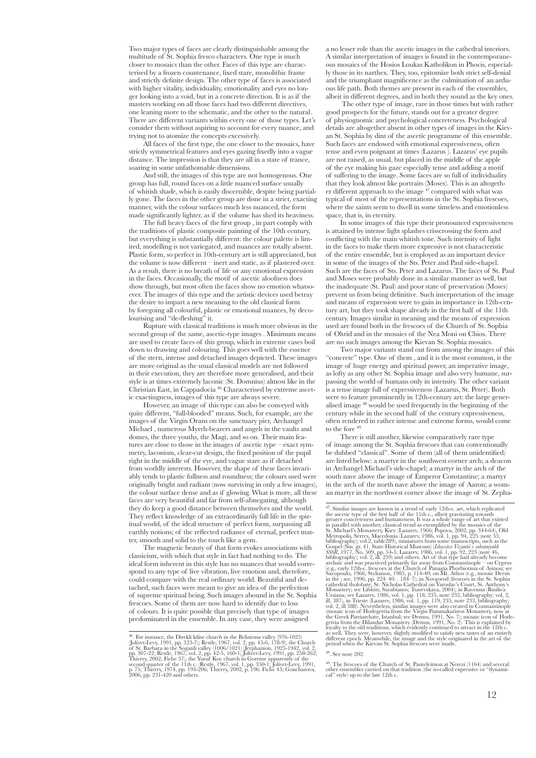Two major types of faces are clearly distinguishable among the multitude of St. Sophia fresco characters. One type is much closer to mosaics than the other. Faces of this type are characterised by a frozen countenance, fixed stare, monolithic frame and strictly definite design. The other type of faces is associated with higher vitality, individuality, emotionality and eyes no longer looking into a void, but in a concrete direction. It is as if the masters working on all those faces had two different directives, one leaning more to the schematic, and the other to the natural. There are different variants within every one of those types. Let's consider them without aspiring to account for every nuance, and trying not to atomize the concepts excessively.

All faces of the first type, the one closer to the mosaics, have strictly symmetrical features and eyes gazing fixedly into a vague distance. The impression is that they are all in a state of trance, soaring in some unfathomable dimensions.

And still, the images of this type are not homogenous. One group has full, round faces on a little nuanced surface usually of whitish shade, which is easily discernible, despite being partially gone. The faces in the other group are done in a strict, exacting manner, with the colour surfaces much less nuanced, the form made significantly lighter, as if the volume has shed its heaviness.

The full heavy faces of the first group , in part comply with the traditions of plastic composite painting of the 10th century, but everything is substantially different: the colour palette is limited, modelling is not variegated, and nuances are totally absent. Plastic form, so perfect in 10th-century art is still appreciated, but the volume is now different – inert and static, as if plastered over. As a result, there is no breath of life or any emotional expression in the faces. Occasionally, the motif of ascetic aloofness does show through, but most often the faces show no emotion whatsoever. The images of this type and the artistic devices used betray the desire to impart a new meaning to the old classical form by foregoing all colourful, plastic or emotional nuances, by decolourising and "de-fleshing" it.

Rupture with classical traditions is much more obvious in the second group of the same, ascetic-type images . Minimum means are used to create faces of this group, which in extreme cases boil down to drawing and colouring. This goes well with the essence of the stern, intense and detached images depicted. These images are more original as the usual classical models are not followed in their execution, they are therefore more generalised, and their style is at times extremely laconic (St. Domnius) almost like in the Christian East, in Cappadocia 46. Characterised by extreme ascetic exactingness, images of this type are always severe.

However, an image of this type can also be conveyed with quite different, "full-blooded" means. Such, for example, are the images of the Virgin Orans on the sanctuary pier, Archangel Michael , numerous Myrrh-bearers and angels in the vaults and domes, the three youths, the Magi, and so on. Their main features are close to those in the images of ascetic type – exact symmetry, laconism, clear-cut design, the fixed position of the pupil right in the middle of the eye, and vague stare as if detached from worldly interests. However, the shape of these faces invariably tends to plastic fullness and roundness; the colours used were originally bright and radiant (now surviving in only a few images), the colour surface dense and as if glowing. What is more, all these faces are very beautiful and far from self-abnegating, although they do keep a good distance between themselves and the world. They reflect knowledge of an extraordinarily full life in the spiritual world, of the ideal structure of perfect form, surpassing all earthly notions; of the reflected radiance of eternal, perfect matter, smooth and solid to the touch like a gem.

The magnetic beauty of that form evokes associations with classicism, with which that style in fact had nothing to do. The ideal form inherent in this style has no nuances that would correspond to any type of live vibration, live emotion and, therefore, could compare with the real ordinary world. Beautiful and detached, such faces were meant to give an idea of the perfection of supreme spiritual being. Such images abound in the St. Sophia frescoes. Some of them are now hard to identify due to loss of colours. It is quite possible that precisely that type of images predominated in the ensemble. In any case, they were assigned

a no lesser role than the ascetic images in the cathedral interiors. A similar interpretation of images is found in the contemporaneous mosaics of the Hosios Loukas Katholikon in Phocis, especially those in its narthex. They, too, epitomize both strict self-denial and the triumphant magnificence as the culmination of an arduous life path. Both themes are present in each of the ensembles, albeit in different degrees, and in both they sound as the key ones.

 The other type of image, rare in those times but with rather good prospects for the future, stands out for a greater degree of physiognomic and psychological concreteness. Psychological details are altogether absent in other types of images in the Kievan St. Sophia by dint of the ascetic programme of this ensemble. Such faces are endowed with emotional expressiveness, often tense and even poignant at times (Lazarus ). Lazarus' eye pupils are not raised, as usual, but placed in the middle of the apple of the eye making his gaze especially tense and adding a motif of suffering to the image. Some faces are so full of individuality that they look almost like portraits (Moses). This is an altogether different approach to the image  $47$  compared with what was typical of most of the representations in the St. Sophia frescoes, where the saints seem to dwell in some timeless and emotionless space, that is, in eternity.

In some images of this type their pronounced expressiveness is attained by intense light splashes crisscrossing the form and conflicting with the main whitish tone. Such intensity of light in the faces to make them more expressive is not characteristic of the entire ensemble, but is employed as an important device in some of the images of the Sts. Peter and Paul side-chapel. Such are the faces of Sts. Peter and Lazarus. The faces of St. Paul and Moses were probably done in a similar manner as well, but the inadequate (St. Paul) and poor state of preservation (Moses) prevent us from being definitive. Such interpretation of the image and means of expression were to gain in importance in 12th-century art, but they took shape already in the first half of the 11th century. Images similar in meaning and the means of expression used are found both in the frescoes of the Church of St. Sophia of Ohrid and in the mosaics of the Nea Moni on Chios. There are no such images among the Kievan St. Sophia mosaics.

Two major variants stand out from among the images of this "concrete" type. One of them , and it is the most common, is the image of huge energy and spiritual power, an imperative image, as lofty as any other St. Sophia image and also very humane, surpassing the world of humans only in intensity. The other variant is a tense image full of expressiveness (Lazarus, St. Peter). Both were to feature prominently in 12th-century art: the large generalised image 48 would be used frequently in the beginning of the century while in the second half of the century expressiveness, often rendered in rather intense and extreme forms, would come to the fore  $49$ 

There is still another, likewise comparatively rare type of image among the St. Sophia frescoes that can conventionally be dubbed "classical". Some of them (all of them unidentified) are listed below: a martyr in the southwest corner arch; a deacon in Archangel Michael's side-chapel; a martyr in the arch of the south nave above the image of Emperor Constantine; a martyr in the arch of the north nave above the image of Aaron; a woman martyr in the northwest corner above the image of St. Zepha-

<sup>&</sup>lt;sup>46</sup>. For instance, the Direkli kilise church in the Belisirma valley (976-1025)<br>(Jolivet-Levy, 1991, pp. 323-7); Restle, 1967, vol. 2, pp. 45-6, 178-9), the Church of St. Barbara in the Soganli valley (1006/1021) (Jerpha

<sup>&</sup>lt;sup>47</sup>, Similar images are known in a trend of early 12th-c. art, which replicated gneater concreteness and humaneness. It was a whole range of art hat existed in parallel with another, dassical trend as exemplified by the

<sup>48</sup>. See note 202.

<sup>&</sup>lt;sup>49</sup>. The frescoes of the Church of St. Panteleimon at Nerezi (1164) and several other ensembles carried on that tradition (the so-called expressive or "dynami- cal" style) up to the late 12th c.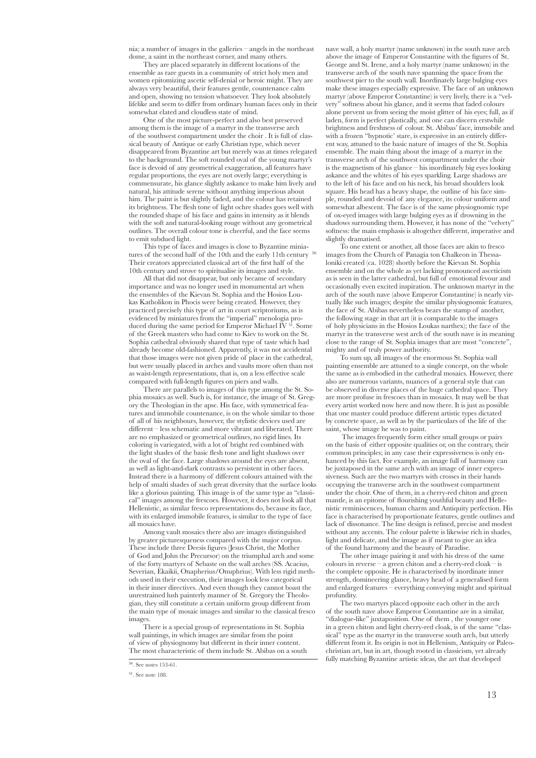nia; a number of images in the galleries – angels in the northeast dome, a saint in the northeast corner, and many others.

They are placed separately in different locations of the ensemble as rare guests in a community of strict holy men and women epitomizing ascetic self-denial or heroic might. They are always very beautiful, their features gentle, countenance calm and open, showing no tension whatsoever. They look absolutely lifelike and seem to differ from ordinary human faces only in their somewhat elated and cloudless state of mind.

One of the most picture-perfect and also best preserved among them is the image of a martyr in the transverse arch of the southwest compartment under the choir . It is full of classical beauty of Antique or early Christian type, which never disappeared from Byzantine art but merely was at times relegated to the background. The soft rounded oval of the young martyr's face is devoid of any geometrical exaggeration, all features have regular proportions, the eyes are not overly large; everything is commensurate, his glance slightly askance to make him lively and natural, his attitude serene without anything imperious about him. The paint is but slightly faded, and the colour has retained its brightness. The flesh tone of light ochre shades goes well with the rounded shape of his face and gains in intensity as it blends with the soft and natural-looking rouge without any geometrical outlines. The overall colour tone is cheerful, and the face seems to emit subdued light.

This type of faces and images is close to Byzantine miniatures of the second half of the 10th and the early 11th century <sup>50.</sup> Their creators appreciated classical art of the first half of the 10th century and strove to spiritualise its images and style.

All that did not disappear, but only became of secondary importance and was no longer used in monumental art when the ensembles of the Kievan St. Sophia and the Hosios Loukas Katholikon in Phocis were being created. However, they practiced precisely this type of art in court scriptoriums, as is evidenced by miniatures from the "imperial" menologia produced during the same period for Emperor Michael IV  $5^1$ . Some of the Greek masters who had come to Kiev to work on the St. Sophia cathedral obviously shared that type of taste which had already become old-fashioned. Apparently, it was not accidental that those images were not given pride of place in the cathedral, but were usually placed in arches and vaults more often than not as waist-length representations, that is, on a less effective scale compared with full-length figures on piers and walls.

There are parallels to images of this type among the St. Sophia mosaics as well. Such is, for instance, the image of St. Gregory the Theologian in the apse. His face, with symmetrical features and immobile countenance, is on the whole similar to those of all of his neighbours, however, the stylistic devices used are different – less schematic and more vibrant and liberated. There are no emphasized or geometrical outlines, no rigid lines. Its coloring is variegated, with a lot of bright red combined with the light shades of the basic flesh tone and light shadows over the oval of the face. Large shadows around the eyes are absent, as well as light-and-dark contrasts so persistent in other faces. Instead there is a harmony of different colours attained with the help of smalti shades of such great diversity that the surface looks like a glorious painting. This image is of the same type as "classical" images among the frescoes. However, it does not look all that Hellenistic, as similar fresco representations do, because its face, with its enlarged immobile features, is similar to the type of face all mosaics have.

Among vault mosaics there also are images distinguished by greater picturesqueness compared with the major corpus. These include three Deesis figures (Jesus Christ, the Mother of God and John the Precursor) on the triumphal arch and some of the forty martyrs of Sebaste on the wall arches (SS. Acacius, Severian, Ekaikii, Onapherius/Onuphrius). With less rigid methods used in their execution, their images look less categorical in their inner directives. And even though they cannot boast the unrestrained lush painterly manner of St. Gregory the Theologian, they still constitute a certain uniform group different from the main type of mosaic images and similar to the classical fresco images.

There is a special group of representations in St. Sophia wall paintings, in which images are similar from the point of view of physiognomy but different in their inner content. The most characteristic of them include St. Abibas on a south nave wall, a holy martyr (name unknown) in the south nave arch above the image of Emperor Constantine with the figures of St. George and St. Irene, and a holy martyr (name unknown) in the transverse arch of the south nave spanning the space from the southwest pier to the south wall. Inordinately large bulging eyes make these images especially expressive. The face of an unknown martyr (above Emperor Constantine) is very lively, there is a "velvety" softness about his glance, and it seems that faded colours alone prevent us from seeing the moist glitter of his eyes; full, as if laden, form is perfect plastically, and one can discern erstwhile brightness and freshness of colour. St. Abibas' face, immobile and with a frozen "hypnotic' stare, is expressive in an entirely different way, attuned to the basic nature of images of the St. Sophia ensemble. The main thing about the image of a martyr in the transverse arch of the southwest compartment under the choir is the magnetism of his glance – his inordinately big eyes looking askance and the whites of his eyes sparkling. Large shadows are to the left of his face and on his neck, his broad shoulders look square. His head has a heavy shape, the outline of his face simple, rounded and devoid of any elegance, its colour uniform and somewhat albescent. The face is of the same physiognomic type of ox-eyed images with large bulging eyes as if drowning in the shadows surrounding them. However, it has none of the "velvety softness: the main emphasis is altogether different, imperative and slightly dramatised.

To one extent or another, all those faces are akin to fresco images from the Church of Panagia ton Chalkeon in Thessaloniki created (ca. 1028) shortly before the Kievan St. Sophia ensemble and on the whole as yet lacking pronounced asceticism as is seen in the latter cathedral, but full of emotional fevour and occasionally even excited inspiration. The unknown martyr in the arch of the south nave (above Emperor Constantine) is nearly virtually like such images; despite the similar physiognomic features, the face of St. Abibas nevertheless bears the stamp of another, the following stage in that art (it is comparable to the images of holy physicians in the Hosios Loukas narthex); the face of the martyr in the transverse west arch of the south nave is in meaning close to the range of St. Sophia images that are most "concrete", mighty and of truly power authority.

To sum up, all images of the enormous St. Sophia wall painting ensemble are attuned to a single concept, on the whole the same as is embodied in the cathedral mosaics. However, there also are numerous variants, nuances of a general style that can be observed in diverse places of the huge cathedral space. They are more profuse in frescoes than in mosaics. It may well be that every artist worked now here and now there. It is just as possible that one master could produce different artistic types dictated by concrete space, as well as by the particulars of the life of the saint, whose image he was to paint.

 The images frequently form either small groups or pairs on the basis of either opposite qualities or, on the contrary, their common principles; in any case their expressiveness is only enhanced by this fact. For example, an image full of harmony can be juxtaposed in the same arch with an image of inner expressiveness. Such are the two martyrs with crosses in their hands occupying the transverse arch in the southwest compartment under the choir. One of them, in a cherry-red chiton and green mantle, is an epitome of flourishing youthful beauty and Hellenistic reminiscences, human charm and Antiquity perfection. His face is characterised by proportionate features, gentle outlines and lack of dissonance. The line design is refined, precise and modest without any accents. The colour palette is likewise rich in shades, light and delicate, and the image as if meant to give an idea of the found harmony and the beauty of Paradise.

The other image pairing it and with his dress of the same colours in reverse – a green chiton and a cherry-red cloak – is the complete opposite. He is characterised by inordinate inner strength, domineering glance, heavy head of a generalised form and enlarged features – everything conveying might and spiritual profundity.

The two martyrs placed opposite each other in the arch of the south nave above Emperor Constantine are in a similar, "dialogue-like" juxtaposition. One of them , the younger one in a green chiton and light cherry-red cloak, is of the same "classical" type as the martyr in the transverse south arch, but utterly different from it. Its origin is not in Hellenism, Antiquity or Paleochristian art, but in art, though rooted in classicism, yet already fully matching Byzantine artistic ideas, the art that developed

 $50.$  See notes 153-61.

<sup>51</sup>. See note 188.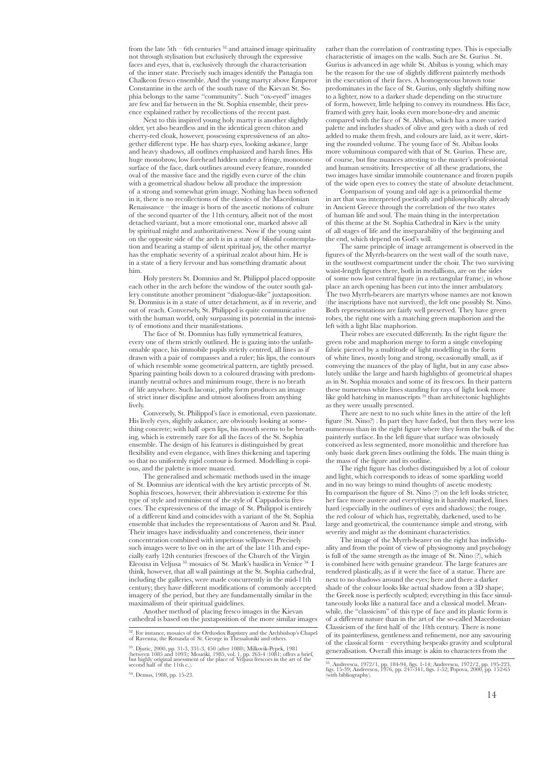from the late  $5th - 6th$  centuries  $52$ , and attained image spirituality not through stylisation but exclusively through the expressive faces and eyes, that is, exclusively through the characterisation of the inner state. Precisely such images identify the Panagia ton Chalkeon fresco ensemble. And the young martyr above Emperor Constantine in the arch of the south nave of the Kievan St. Sophia belongs to the same "community". Such "ox-eyed" images are few and far between in the St. Sophia ensemble, their presence explained rather by recollections of the recent past.

Next to this inspired young holy martyr is another slightly older, yet also beardless and in the identical green chiton and cherry-red cloak, however, possessing expressiveness of an altogether different type. He has sharp eyes, looking askance, large and heavy shadows, all outlines emphasized and harsh lines. His huge monobrow, low forehead hidden under a fringe, monotone surface of the face, dark outlines around every feature, rounded oval of the massive face and the rigidly even curve of the chin with a geometrical shadow below all produce the impression of a strong and somewhat grim image. Nothing has been softened in it, there is no recollections of the classics of the Macedonian Renaissance – the image is born of the ascetic notions of culture of the second quarter of the 11th century, albeit not of the most detached variant, but a more emotional one, marked above all by spiritual might and authoritativeness. Now if the young saint on the opposite side of the arch is in a state of blissful contemplation and bearing a stamp of silent spiritual joy, the other martyr has the emphatic severity of a spiritual zealot about him. He is in a state of a fiery fervour and has something dramatic about him.

Holy presters St. Domnius and St. Philippol placed opposite each other in the arch before the window of the outer south gallery constitute another prominent "dialogue-like" juxtaposition. St. Domnius is in a state of utter detachment, as if in reverie, and out of reach. Conversely, St. Philippol is quite communicative with the human world, only surpassing its potential in the intensity of emotions and their manifestations.

The face of St. Domnius has fully symmetrical features, every one of them strictly outlined. He is gazing into the unfathomable space, his immobile pupils strictly centred, all lines as if drawn with a pair of compasses and a ruler; his lips, the contours of which resemble some geometrical pattern, are tightly pressed. Sparing painting boils down to a coloured drawing with predominantly neutral ochres and minimum rouge, there is no breath of life anywhere. Such laconic, pithy form produces an image of strict inner discipline and utmost aloofness from anything lively.

Conversely, St. Philippol's face is emotional, even passionate. His lively eyes, slightly askance, are obviously looking at something concrete; with half open lips, his mouth seems to be breathing, which is extremely rare for all the faces of the St. Sophia ensemble. The design of his features is distinguished by great flexibility and even elegance, with lines thickening and tapering so that no uniformly rigid contour is formed. Modelling is copious, and the palette is more nuanced.

The generalised and schematic methods used in the image of St. Domnius are identical with the key artistic precepts of St. Sophia frescoes, however, their abbreviation is extreme for this type of style and reminiscent of the style of Cappadocia frescoes. The expressiveness of the image of St. Philippol is entirely of a different kind and coincides with a variant of the St. Sophia ensemble that includes the representations of Aaron and St. Paul. Their images have individuality and concreteness, their inner concentration combined with imperious willpower. Precisely such images were to live on in the art of the late 11th and especially early 12th centuries (frescoes of the Church of the Virgin Eleousa in Veljusa 53, mosaics of St. Mark's basilica in Venice 54 . I think, however, that all wall paintings at the St. Sophia cathedral, including the galleries, were made concurrently in the mid-11th century; they have different modifications of commonly accepted imagery of the period, but they are fundamentally similar in the maximalism of their spiritual guidelines.

Another method of placing fresco images in the Kievan cathedral is based on the juxtaposition of the more similar images

<sup>54</sup>. Demus, 1988, pp. 15-23.

rather than the correlation of contrasting types. This is especially characteristic of images on the walls. Such are St. Gurius . St. Gurius is advanced in age while St. Abibas is young, which may be the reason for the use of slightly different painterly methods in the execution of their faces. A homogeneous brown tone predominates in the face of St. Gurius, only slightly shifting now to a lighter, now to a darker shade depending on the structure of form, however, little helping to convey its roundness. His face, framed with grey hair, looks even more bone-dry and anemic compared with the face of St. Abibas, which has a more varied palette and includes shades of olive and grey with a dash of red added to make them fresh, and colours are laid, as it were, skirting the rounded volume. The young face of St. Abibas looks more voluminous compared with that of St. Gurius. These are, of course, but fine nuances attesting to the master's professional and human sensitivity. Irrespective of all these gradations, the two images have similar immobile countenance and frozen pupils of the wide open eyes to convey the state of absolute detachment.

Comparison of young and old age is a primordial theme in art that was interpreted poetically and philosophically already in Ancient Greece through the correlation of the two states of human life and soul. The main thing in the interpretation of this theme at the St. Sophia Cathedral in Kiev is the unity of all stages of life and the inseparability of the beginning and the end, which depend on God's will.

The same principle of image arrangement is observed in the figures of the Myrrh-bearers on the west wall of the south nave, in the southwest compartment under the choir. The two surviving waist-length figures there, both in medallions, are on the sides of some now lost central figure (in a rectangular frame), in whose place an arch opening has been cut into the inner ambulatory. The two Myrrh-bearers are martyrs whose names are not known (the inscriptions have not survived), the left one possibly St. Nino. Both representations are fairly well preserved. They have green robes, the right one with a matching green maphorion and the left with a light lilac maphorion.

Their robes are executed differently. In the right figure the green robe and maphorion merge to form a single enveloping fabric pierced by a multitude of light modelling in the form of white lines, mostly long and strong, occasionally small, as if conveying the nuances of the play of light, but in any case absolutely unlike the large and harsh highlights of geometrical shapes as in St. Sophia mosaics and some of its frescoes. In their pattern these numerous white lines standing for rays of light look more like gold hatching in manuscripts  $55$  than architectonic highlights as they were usually presented.

There are next to no such white lines in the attire of the left figure (St. Nino?) . In part they have faded, but then they were less numerous than in the right figure where they form the bulk of the painterly surface. In the left figure that surface was obviously conceived as less segmented, more monolithic and therefore has only basic dark green lines outlining the folds. The main thing is the mass of the figure and its outline.

The right figure has clothes distinguished by a lot of colour and light, which corresponds to ideas of some sparkling world and in no way brings to mind thoughts of ascetic modesty. In comparison the figure of St. Nino (?) on the left looks stricter, her face more austere and everything in it harshly marked, lines hard (especially in the outlines of eyes and shadows); the rouge, the red colour of which has, regrettably, darkened, used to be large and geometrical, the countenance simple and strong, with severity and might as the dominant characteristics.

The image of the Myrrh-bearer on the right has individuality and from the point of view of physiognomy and psychology is full of the same strength as the image of St. Nino (?), which is combined here with genuine grandeur. The large features are rendered plastically, as if it were the face of a statue. There are next to no shadows around the eyes; here and there a darker shade of the colour looks like actual shadow from a 3D shape; the Greek nose is perfectly sculpted; everything in this face simultaneously looks like a natural face and a classical model. Meanwhile, the "classicism" of this type of face and its plastic form is of a different nature than in the art of the so-called Macedonian Classicism of the first half of the 10th century. There is none of its painterliness, gentleness and refinement, nor any savouring of the classical form – everything bespeaks gravity and sculptural generalisation. Overall this image is akin to characters from the

<sup>52</sup>. For instance, mosaics of the Orthodox Baptistry and the Archbishop's Chapel of Ravenna, the Rotunda of St. George in Thessaloniki and others.

 $^{53}$ . Djuric, 2000, pp. 31-3, 331-3, 450 (after 1080); Milkovik-Pepek, 1981<br>(between 1085 and 1093); Mouriki, 1985, vol. 1, pp. 263-4 (1081; offers a brief, but highly original assessment of the place of Veljusa frescoe

<sup>55</sup>. Andreescu, 1972/1, pp. 184-94, figs. 1-14; Andreescu, 1972/2, pp. 195-223, figs. 15-39; Andreescu, 1976, pp. 247-341, figs. 1-52; Popova, 2000, pp. 152-65 (with bibliography).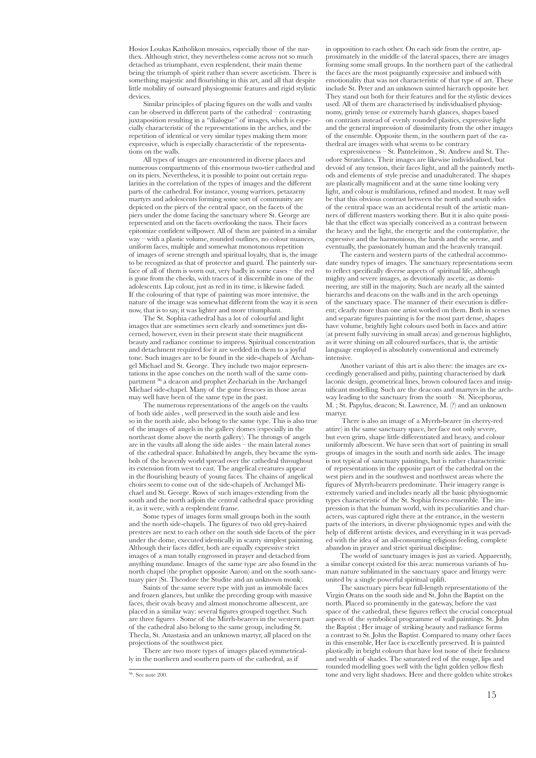Hosios Loukas Katholikon mosaics, especially those of the narthex. Although strict, they nevertheless come across not so much detached as triumphant, even resplendent, their main theme being the triumph of spirit rather than severe asceticism. There is something majestic and flourishing in this art, and all that despite little mobility of outward physiognomic features and rigid stylistic devices.

Similar principles of placing figures on the walls and vaults can be observed in different parts of the cathedral – contrasting juxtaposition resulting in a "dialogue" of images, which is especially characteristic of the representations in the arches, and the repetition of identical or very similar types making them more expressive, which is especially characteristic of the representations on the walls.

All types of images are encountered in diverse places and numerous compartments of this enormous two-tier cathedral and on its piers. Nevertheless, it is possible to point out certain regularities in the correlation of the types of images and the different parts of the cathedral. For instance, young warriors, petazarny martyrs and adolescents forming some sort of community are depicted on the piers of the central space, on the facets of the piers under the dome facing the sanctuary where St. George are represented and on the facets overlooking the naos. Their faces epitomize confident willpower. All of them are painted in a similar way – with a plastic volume, rounded outlines, no colour nuances, uniform faces, multiple and somewhat monotonous repetition of images of serene strength and spiritual loyalty, that is, the image to be recognized as that of protector and guard. The painterly surface of all of them is worn out, very badly in some cases – the red is gone from the cheeks, with traces of it discernible in one of the adolescents. Lip colour, just as red in its time, is likewise faded. If the colouring of that type of painting was more intensive, the nature of the image was somewhat different from the way it is seen now, that is to say, it was lighter and more triumphant.

The St. Sophia cathedral has a lot of colourful and light images that are sometimes seen clearly and sometimes just discerned, however, even in their present state their magnificent beauty and radiance continue to impress. Spiritual concentration and detachment required for it are wedded in them to a joyful tone. Such images are to be found in the side-chapels of Archangel Michael and St. George. They include two major representations in the apse conches on the north wall of the same compartment 56; a deacon and prophet Zechariah in the Archangel Michael side-chapel. Many of the gone frescoes in those areas may well have been of the same type in the past.

The numerous representations of the angels on the vaults of both side aisles , well preserved in the south aisle and less so in the north aisle, also belong to the same type. This is also true of the images of angels in the gallery domes (especially in the northeast dome above the north gallery). The throngs of angels are in the vaults all along the side aisles – the main lateral zones of the cathedral space. Inhabited by angels, they became the symbols of the heavenly world spread over the cathedral throughout its extension from west to east. The angelical creatures appear in the flourishing beauty of young faces. The chains of angelical choirs seem to come out of the side-chapels of Archangel Michael and St. George. Rows of such images extending from the south and the north adjoin the central cathedral space providing it, as it were, with a resplendent frame.

Some types of images form small groups both in the south and the north side-chapels. The figures of two old grey-haired presters are next to each other on the south side facets of the pier under the dome, executed identically in scanty simplest painting. Although their faces differ, both are equally expressive strict images of a man totally engrossed in prayer and detached from anything mundane. Images of the same type are also found in the north chapel (the prophet opposite Aaron) and on the south sanctuary pier (St. Theodore the Studite and an unknown monk).

Saints of the same severe type with just as immobile faces and frozen glances, but unlike the preceding group with massive faces, their ovals heavy and almost monochrome albescent, are placed in a similar way: several figures grouped together. Such are three figures . Some of the Mirrh-bearers in the western part of the cathedral also belong to the same group, including St. Thecla, St. Anastasia and an unknown martyr, all placed on the projections of the southwest pier.

There are two more types of images placed symmetrically in the northern and southern parts of the cathedral, as if

in opposition to each other. On each side from the centre, approximately in the middle of the lateral spaces, there are images forming some small groups. In the northern part of the cathedral the faces are the most poignantly expressive and imbued with emotionality that was not characteristic of that type of art. These include St. Peter and an unknown sainted hierarch opposite her. They stand out both for their features and for the stylistic devices used. All of them are characterised by individualised physiognomy, grimly tense or extremely harsh glances, shapes based on contrasts instead of evenly rounded plastics, expressive light and the general impression of dissimilarity from the other images of the ensemble. Opposite them, in the southern part of the cathedral are images with what seems to be contrary

expressiveness – St. Panteleimon , St. Andrew and St. Theodore Stratelates. Their images are likewise individualised, but devoid of any tension, their faces light, and all the painterly methods and elements of style precise and unadulterated. The shapes are plastically magnificent and at the same time looking very light, and colour is multifarious, refined and modest. It may well be that this obvious contrast between the north and south sides of the central space was an accidental result of the artistic manners of different masters working there. But it is also quite possible that the effect was specially conceived as a contrast between the heavy and the light, the energetic and the contemplative, the expressive and the harmonious, the harsh and the serene, and eventually, the passionately human and the heavenly tranquil.

The eastern and western parts of the cathedral accommodate sundry types of images. The sanctuary representations seem to reflect specifically diverse aspects of spiritual life, although mighty and severe images, as devotionally ascetic, as domineering, are still in the majority. Such are nearly all the sainted hierarchs and deacons on the walls and in the arch openings of the sanctuary space. The manner of their execution is different; clearly more than one artist worked on them. Both in scenes and separate figures painting is for the most part dense, shapes have volume, brightly light colours used both in faces and attire (at present fully surviving in small areas) and generous highlights, as it were shining on all coloured surfaces, that is, the artistic language employed is absolutely conventional and extremely intensive.

Another variant of this art is also there: the images are exceedingly generalised and pithy, painting characterised by dark laconic design, geometrical lines, brown coloured faces and insignificant modelling. Such are the deacons and martyrs in the archway leading to the sanctuary from the south – St. Nicephorus, M. ; St. Papylus, deacon; St. Lawrence, M. (?) and an unknown martyr.

 There is also an image of a Myrrh-bearer (in cherry-red attire) in the same sanctuary space, her face not only severe, but even grim, shape little differentiated and heavy, and colour uniformly albescent. We have seen that sort of painting in small groups of images in the south and north side aisles. The image is not typical of sanctuary paintings, but is rather characteristic of representations in the opposite part of the cathedral on the west piers and in the southwest and northwest areas where the figures of Myrrh-bearers predominate. Their imagery range is extremely varied and includes nearly all the basic physiognomic types characteristic of the St. Sophia fresco ensemble. The impression is that the human world, with its peculiarities and characters, was captured right there at the entrance, in the western parts of the interiors, in diverse physiognomic types and with the help of different artistic devices, and everything in it was pervaded with the idea of an all-consuming religious feeling, complete abandon in prayer and strict spiritual discipline.

The world of sanctuary images is just as varied. Apparently, a similar concept existed for this area: numerous variants of human nature sublimated in the sanctuary space and liturgy were united by a single powerful spiritual uplift.

The sanctuary piers bear full-length representations of the Virgin Orans on the south side and St. John the Baptist on the north. Placed so prominently in the gateway, before the vast space of the cathedral, these figures reflect the crucial conceptual aspects of the symbolical programme of wall paintings. St. John the Baptist ; Her image of striking beauty and radiance forms a contrast to St. John the Baptist. Compared to many other faces in this ensemble, Her face is excellently preserved. It is painted plastically in bright colours that have lost none of their freshness and wealth of shades. The saturated red of the rouge, lips and rounded modelling goes well with the light golden yellow flesh tone and very light shadows. Here and there golden white strokes

 $\overline{56}$ . See note 200.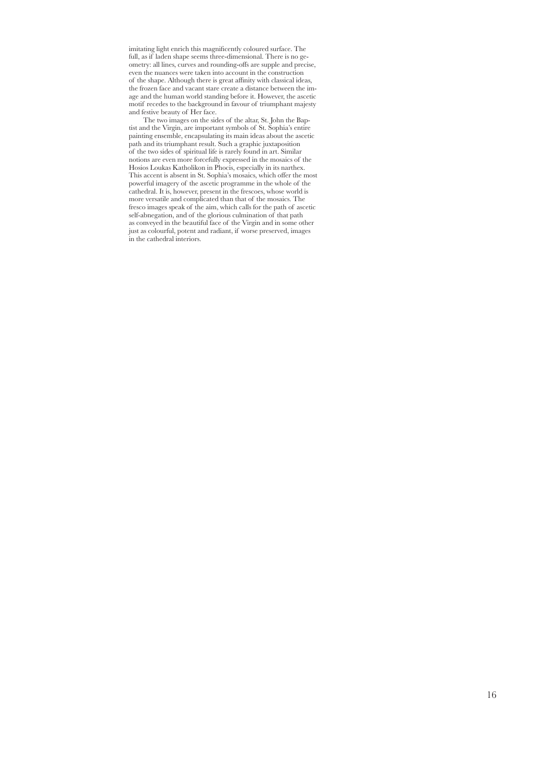imitating light enrich this magnificently coloured surface. The full, as if laden shape seems three-dimensional. There is no geometry: all lines, curves and rounding-offs are supple and precise, even the nuances were taken into account in the construction of the shape. Although there is great affinity with classical ideas, the frozen face and vacant stare create a distance between the image and the human world standing before it. However, the ascetic motif recedes to the background in favour of triumphant majesty and festive beauty of Her face.

The two images on the sides of the altar, St. John the Baptist and the Virgin, are important symbols of St. Sophia's entire painting ensemble, encapsulating its main ideas about the ascetic path and its triumphant result. Such a graphic juxtaposition of the two sides of spiritual life is rarely found in art. Similar notions are even more forcefully expressed in the mosaics of the Hosios Loukas Katholikon in Phocis, especially in its narthex. This accent is absent in St. Sophia's mosaics, which offer the most powerful imagery of the ascetic programme in the whole of the cathedral. It is, however, present in the frescoes, whose world is more versatile and complicated than that of the mosaics. The fresco images speak of the aim, which calls for the path of ascetic self-abnegation, and of the glorious culmination of that path as conveyed in the beautiful face of the Virgin and in some other just as colourful, potent and radiant, if worse preserved, images in the cathedral interiors.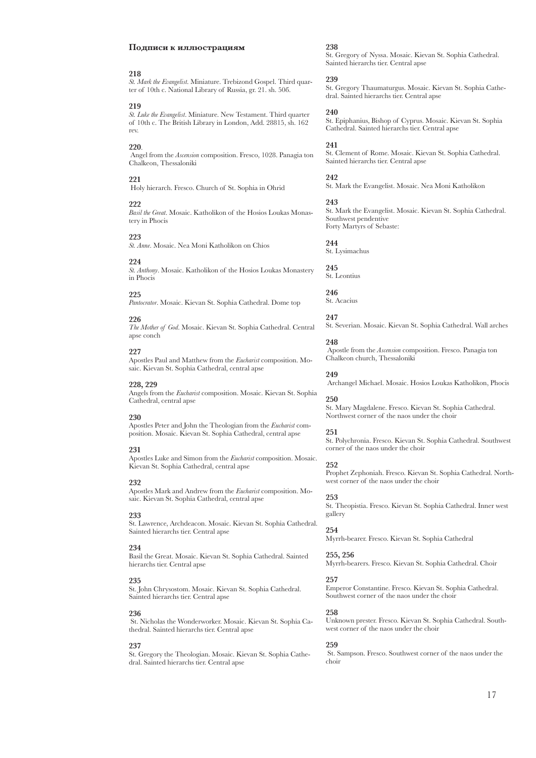### **Подписи к иллюстрациям**

### **218**

*St. Mark the Evangelist*. Miniature. Trebizond Gospel. Third quarter of 10th c. National Library of Russia, gr. 21. sh. 50б.

### **219**

*St. Luke the Evangelist*. Miniature. New Testament. Third quarter of 10th c. The British Library in London, Аdd. 28815, sh. 162 rev.

### **220**.

 Angel from the *Ascension* composition. Fresco, 1028. Panagia ton Chalkeon, Thessaloniki

### **221**

Holy hierarch. Fresco. Church of St. Sophia in Ohrid

#### **222**

*Basil the Great*. Mosaic. Katholikon of the Hosios Loukas Monastery in Phocis

#### **223**

*St. Anne*. Mosaic. Nea Moni Katholikon on Chios

### **224**

*St. Anthony*. Mosaic. Katholikon of the Hosios Loukas Monastery in Phocis

#### **225**

*Pantocrator*. Mosaic. Kievan St. Sophia Cathedral. Dome top

# **226**

*The Mother of God*. Mosaic. Kievan St. Sophia Cathedral. Central apse conch

# **227**

Apostles Paul and Matthew from the *Eucharist* composition. Mosaic. Kievan St. Sophia Cathedral, central apse

### **228, 229**

Angels from the *Eucharist* composition. Mosaic. Kievan St. Sophia Cathedral, central apse

## **230**

Apostles Peter and John the Theologian from the *Eucharist* composition. Mosaic. Kievan St. Sophia Cathedral, central apse

### **231**

Apostles Luke and Simon from the *Eucharist* composition. Mosaic. Kievan St. Sophia Cathedral, central apse

#### **232**

Apostles Mark and Andrew from the *Eucharist* composition. Mosaic. Kievan St. Sophia Cathedral, central apse

#### **233**

St. Lawrence, Archdeacon. Mosaic. Kievan St. Sophia Cathedral. Sainted hierarchs tier. Central apse

#### **234**

Basil the Great. Mosaic. Kievan St. Sophia Cathedral. Sainted hierarchs tier. Central apse

# **235**

St. John Chrysostom. Mosaic. Kievan St. Sophia Cathedral. Sainted hierarchs tier. Central apse

#### **236**

 St. Nicholas the Wonderworker. Mosaic. Kievan St. Sophia Cathedral. Sainted hierarchs tier. Central apse

#### **237**

St. Gregory the Theologian. Mosaic. Kievan St. Sophia Cathedral. Sainted hierarchs tier. Central apse

# **238**

St. Gregory of Nyssa. Mosaic. Kievan St. Sophia Cathedral. Sainted hierarchs tier. Central apse

#### **239**

St. Gregory Thaumaturgus. Mosaic. Kievan St. Sophia Cathedral. Sainted hierarchs tier. Central apse

# **240**

St. Epiphanius, Bishop of Cyprus. Mosaic. Kievan St. Sophia Cathedral. Sainted hierarchs tier. Central apse

**241**

St. Clement of Rome. Mosaic. Kievan St. Sophia Cathedral. Sainted hierarchs tier. Central apse

**242**

St. Mark the Evangelist. Mosaic. Nea Moni Katholikon

### **243**

St. Mark the Evangelist. Mosaic. Kievan St. Sophia Cathedral. Southwest pendentive Forty Martyrs of Sebaste:

**244** St. Lysimachus

**245** St. Leontius

**246** St. Acacius

# **247**

St. Severian. Mosaic. Kievan St. Sophia Cathedral. Wall arches

# **248**

 Apostle from the *Ascension* composition. Fresco. Panagia ton Chalkeon church, Thessaloniki

**249**

Archangel Michael. Mosaic. Hosios Loukas Katholikon, Phocis

### **250**

St. Mary Magdalene. Fresco. Kievan St. Sophia Cathedral. Northwest corner of the naos under the choir

### **251**

St. Polychronia. Fresco. Kievan St. Sophia Cathedral. Southwest corner of the naos under the choir

#### **252**

Prophet Zephoniah. Fresco. Kievan St. Sophia Cathedral. Northwest corner of the naos under the choir

#### **253**

St. Theopistia. Fresco. Kievan St. Sophia Cathedral. Inner west oallery

#### **254**

Myrrh-bearer. Fresco. Kievan St. Sophia Cathedral

# **255, 256**

Myrrh-bearers. Fresco. Kievan St. Sophia Cathedral. Choir

# **257**

Emperor Constantine. Fresco. Kievan St. Sophia Cathedral. Southwest corner of the naos under the choir

### **258**

Unknown prester. Fresco. Kievan St. Sophia Cathedral. Southwest corner of the naos under the choir

### **259**

 St. Sampson. Fresco. Southwest corner of the naos under the choir